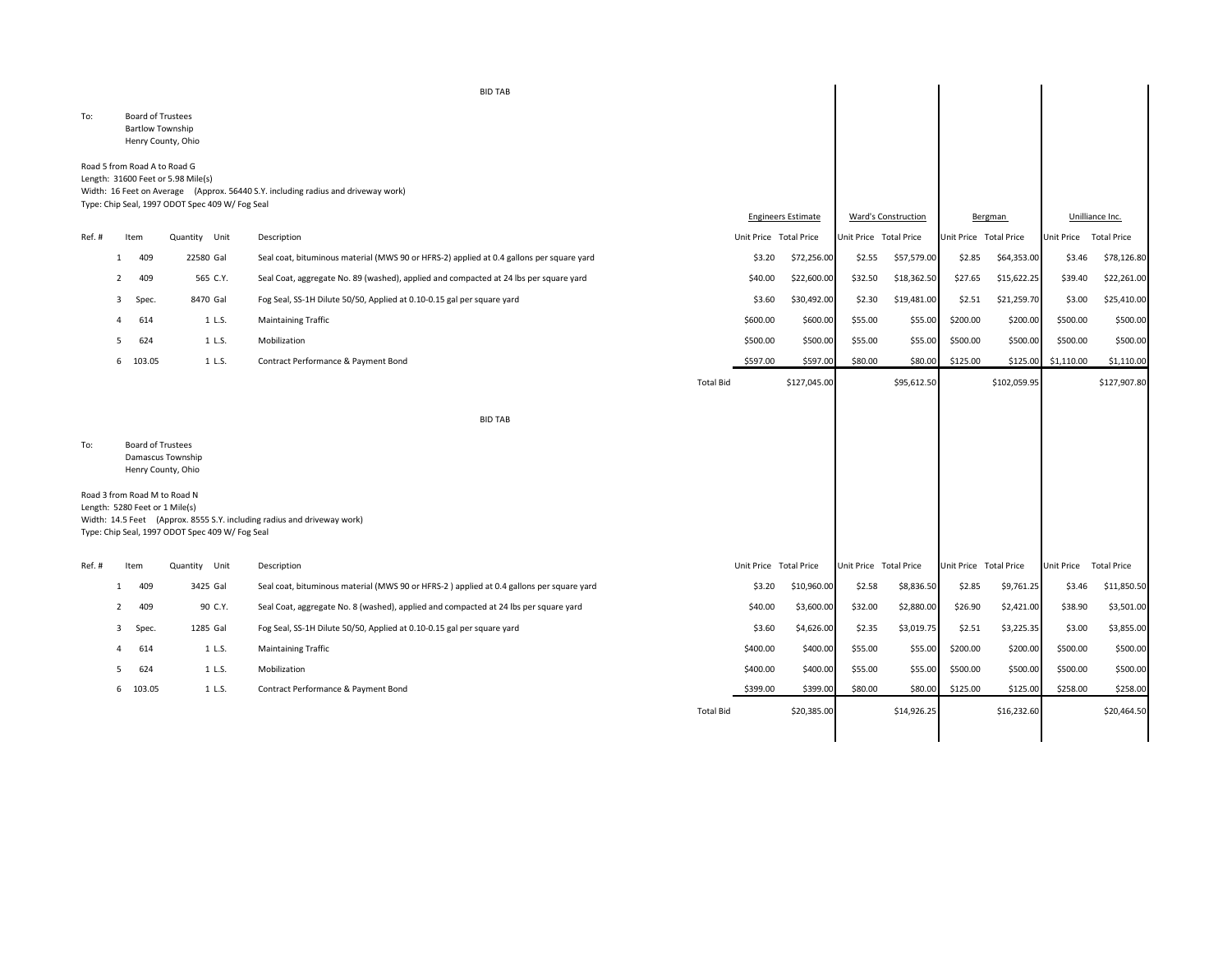|        |                |                                                     |                                                                                                                       | <b>BID TAB</b>                                                                           |                  |                        |                           |                        |                     |                        |              |                        |                    |
|--------|----------------|-----------------------------------------------------|-----------------------------------------------------------------------------------------------------------------------|------------------------------------------------------------------------------------------|------------------|------------------------|---------------------------|------------------------|---------------------|------------------------|--------------|------------------------|--------------------|
| To:    |                | <b>Board of Trustees</b><br><b>Bartlow Township</b> | Henry County, Ohio                                                                                                    |                                                                                          |                  |                        |                           |                        |                     |                        |              |                        |                    |
|        |                |                                                     | Road 5 from Road A to Road G<br>Length: 31600 Feet or 5.98 Mile(s)<br>Type: Chip Seal, 1997 ODOT Spec 409 W/ Fog Seal | Width: 16 Feet on Average (Approx. 56440 S.Y. including radius and driveway work)        |                  |                        | <b>Engineers Estimate</b> |                        | Ward's Construction |                        | Bergman      |                        | Unilliance Inc.    |
| Ref.#  |                | Item                                                | Quantity Unit                                                                                                         | Description                                                                              |                  | Unit Price Total Price |                           | Unit Price Total Price |                     | Unit Price Total Price |              | Unit Price Total Price |                    |
|        | -1             | 409                                                 | 22580 Gal                                                                                                             | Seal coat, bituminous material (MWS 90 or HFRS-2) applied at 0.4 gallons per square yard |                  | \$3.20                 | \$72,256.00               | \$2.55                 | \$57,579.00         | \$2.85                 | \$64,353.00  | \$3.46                 | \$78,126.80        |
|        | $\overline{2}$ | 409                                                 | 565 C.Y.                                                                                                              | Seal Coat, aggregate No. 89 (washed), applied and compacted at 24 lbs per square yard    |                  | \$40.00                | \$22,600.00               | \$32.50                | \$18,362.50         | \$27.65                | \$15,622.25  | \$39.40                | \$22,261.00        |
|        | 3              | Spec.                                               | 8470 Gal                                                                                                              | Fog Seal, SS-1H Dilute 50/50, Applied at 0.10-0.15 gal per square yard                   |                  | \$3.60                 | \$30,492.00               | \$2.30                 | \$19,481.00         | \$2.51                 | \$21,259.70  | \$3.00                 | \$25,410.00        |
|        | 4              | 614                                                 | 1 L.S.                                                                                                                | <b>Maintaining Traffic</b>                                                               |                  | \$600.00               | \$600.00                  | \$55.00                | \$55.00             | \$200.00               | \$200.00     | \$500.00               | \$500.00           |
|        | .5             | 624                                                 | 1 L.S.                                                                                                                | Mobilization                                                                             |                  | \$500.00               | \$500.00                  | \$55.00                | \$55.00             | \$500.00               | \$500.00     | \$500.00               | \$500.00           |
|        |                | 6 103.05                                            | 1 L.S.                                                                                                                | Contract Performance & Payment Bond                                                      |                  | \$597.00               | \$597.00                  | \$80.00                | \$80.00             | \$125.00               | \$125.00     | \$1,110.00             | \$1,110.00         |
|        |                |                                                     |                                                                                                                       |                                                                                          | <b>Total Bid</b> |                        | \$127,045.00              |                        | \$95,612.50         |                        | \$102,059.95 |                        | \$127,907.80       |
|        |                |                                                     |                                                                                                                       | <b>BID TAB</b>                                                                           |                  |                        |                           |                        |                     |                        |              |                        |                    |
| To:    |                | <b>Board of Trustees</b>                            | Damascus Township<br>Henry County, Ohio                                                                               |                                                                                          |                  |                        |                           |                        |                     |                        |              |                        |                    |
|        |                |                                                     | Road 3 from Road M to Road N<br>Length: 5280 Feet or 1 Mile(s)<br>Type: Chip Seal, 1997 ODOT Spec 409 W/ Fog Seal     | Width: 14.5 Feet (Approx. 8555 S.Y. including radius and driveway work)                  |                  |                        |                           |                        |                     |                        |              |                        |                    |
| Ref. # |                | Item                                                | Quantity Unit                                                                                                         | Description                                                                              |                  | Unit Price Total Price |                           | Unit Price Total Price |                     | Unit Price Total Price |              | Unit Price             | <b>Total Price</b> |
|        | 1              | 409                                                 | 3425 Gal                                                                                                              | Seal coat, bituminous material (MWS 90 or HFRS-2) applied at 0.4 gallons per square yard |                  | \$3.20                 | \$10,960.00               | \$2.58                 | \$8,836.50          | \$2.85                 | \$9,761.25   | \$3.46                 | \$11,850.50        |
|        |                | 409                                                 | 90 C.Y.                                                                                                               | Seal Coat, aggregate No. 8 (washed), applied and compacted at 24 lbs per square yard     |                  | \$40.00                | \$3,600.00                | \$32.00                | \$2,880.00          | \$26.90                | \$2,421.00   | \$38.90                | \$3,501.00         |
|        | 3              | Spec.                                               | 1285 Gal                                                                                                              | Fog Seal, SS-1H Dilute 50/50, Applied at 0.10-0.15 gal per square yard                   |                  | \$3.60                 | \$4,626.00                | \$2.35                 | \$3,019.75          | \$2.51                 | \$3,225.35   | \$3.00                 | \$3,855.00         |
|        | 4              | 614                                                 | 1 L.S.                                                                                                                | <b>Maintaining Traffic</b>                                                               |                  | \$400.00               | \$400.00                  | \$55.00                | \$55.00             | \$200.00               | \$200.00     | \$500.00               | \$500.00           |
|        | 5              | 624                                                 | 1 L.S.                                                                                                                | Mobilization                                                                             |                  | \$400.00               | \$400.00                  | \$55.00                | \$55.00             | \$500.00               | \$500.00     | \$500.00               | \$500.00           |
|        |                | 6 103.05                                            | 1 L.S.                                                                                                                | Contract Performance & Payment Bond                                                      |                  | \$399.00               | \$399.00                  | \$80.00                | \$80.00             | \$125.00               | \$125.00     | \$258.00               | \$258.00           |
|        |                |                                                     |                                                                                                                       |                                                                                          | <b>Total Bid</b> |                        | \$20,385.00               |                        | \$14,926.25         |                        | \$16,232.60  |                        | \$20,464.50        |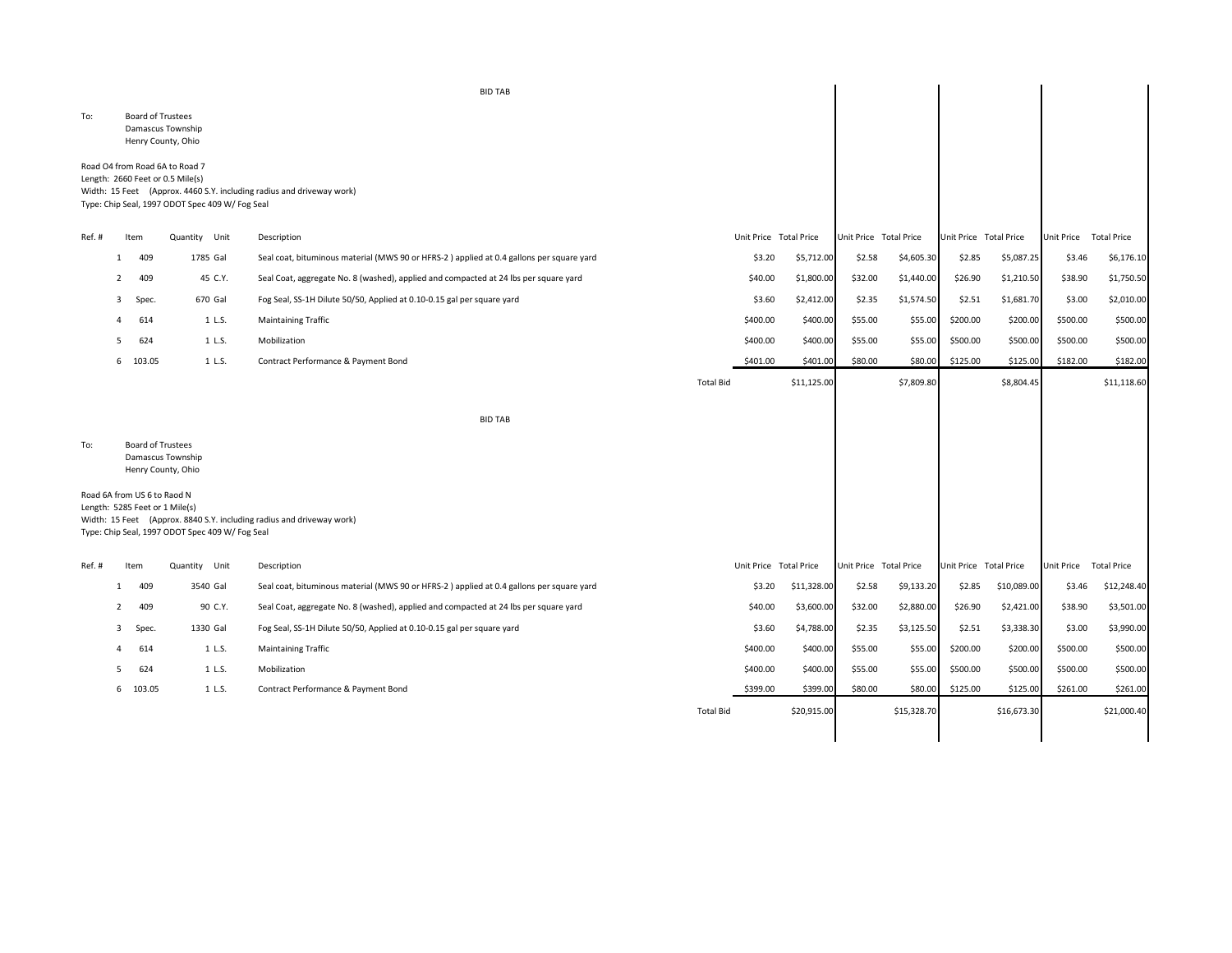|        |                |                                                               |                                                                                                                       | <b>BID TAB</b>                                                                           |                  |          |                        |                        |             |                        |             |                        |                    |
|--------|----------------|---------------------------------------------------------------|-----------------------------------------------------------------------------------------------------------------------|------------------------------------------------------------------------------------------|------------------|----------|------------------------|------------------------|-------------|------------------------|-------------|------------------------|--------------------|
| To:    |                | <b>Board of Trustees</b>                                      | Damascus Township<br>Henry County, Ohio                                                                               |                                                                                          |                  |          |                        |                        |             |                        |             |                        |                    |
|        |                |                                                               | Road O4 from Road 6A to Road 7<br>Length: 2660 Feet or 0.5 Mile(s)<br>Type: Chip Seal, 1997 ODOT Spec 409 W/ Fog Seal | Width: 15 Feet (Approx. 4460 S.Y. including radius and driveway work)                    |                  |          |                        |                        |             |                        |             |                        |                    |
| Ref. # |                | Item                                                          | Quantity Unit                                                                                                         | Description                                                                              |                  |          | Unit Price Total Price | Unit Price Total Price |             | Unit Price Total Price |             | Unit Price             | <b>Total Price</b> |
|        | -1             | 409                                                           | 1785 Gal                                                                                                              | Seal coat, bituminous material (MWS 90 or HFRS-2) applied at 0.4 gallons per square yard |                  | \$3.20   | \$5,712.00             | \$2.58                 | \$4,605.30  | \$2.85                 | \$5,087.25  | \$3.46                 | \$6,176.10         |
|        | 2              | 409                                                           | 45 C.Y.                                                                                                               | Seal Coat, aggregate No. 8 (washed), applied and compacted at 24 lbs per square yard     |                  | \$40.00  | \$1,800.00             | \$32.00                | \$1,440.00  | \$26.90                | \$1,210.50  | \$38.90                | \$1,750.50         |
|        | -3             | Spec.                                                         | 670 Gal                                                                                                               | Fog Seal, SS-1H Dilute 50/50, Applied at 0.10-0.15 gal per square yard                   |                  | \$3.60   | \$2,412.00             | \$2.35                 | \$1,574.50  | \$2.51                 | \$1,681.70  | \$3.00                 | \$2,010.00         |
|        |                | 614                                                           | 1 L.S.                                                                                                                | <b>Maintaining Traffic</b>                                                               |                  | \$400.00 | \$400.00               | \$55.00                | \$55.00     | \$200.00               | \$200.00    | \$500.00               | \$500.00           |
|        | -5             | 624                                                           | 1 L.S.                                                                                                                | Mobilization                                                                             |                  | \$400.00 | \$400.00               | \$55.00                | \$55.00     | \$500.00               | \$500.00    | \$500.00               | \$500.00           |
|        |                | 6 103.05                                                      | 1 L.S.                                                                                                                | Contract Performance & Payment Bond                                                      |                  | \$401.00 | \$401.00               | \$80.00                | \$80.00     | \$125.00               | \$125.00    | \$182.00               | \$182.00           |
|        |                |                                                               |                                                                                                                       |                                                                                          | <b>Total Bid</b> |          | \$11,125.00            |                        | \$7,809.80  |                        | \$8,804.45  |                        | \$11,118.60        |
|        |                |                                                               |                                                                                                                       | <b>BID TAB</b>                                                                           |                  |          |                        |                        |             |                        |             |                        |                    |
| To:    |                | <b>Board of Trustees</b>                                      | Damascus Township<br>Henry County, Ohio                                                                               |                                                                                          |                  |          |                        |                        |             |                        |             |                        |                    |
|        |                | Road 6A from US 6 to Raod N<br>Length: 5285 Feet or 1 Mile(s) | Type: Chip Seal, 1997 ODOT Spec 409 W/ Fog Seal                                                                       | Width: 15 Feet (Approx. 8840 S.Y. including radius and driveway work)                    |                  |          |                        |                        |             |                        |             |                        |                    |
| Ref. # |                | Item                                                          | Quantity Unit                                                                                                         | Description                                                                              |                  |          | Unit Price Total Price | Unit Price Total Price |             | Unit Price Total Price |             | Unit Price Total Price |                    |
|        | -1             | 409                                                           | 3540 Gal                                                                                                              | Seal coat, bituminous material (MWS 90 or HFRS-2) applied at 0.4 gallons per square yard |                  | \$3.20   | \$11,328.00            | \$2.58                 | \$9,133.20  | \$2.85                 | \$10,089.00 | \$3.46                 | \$12,248.40        |
|        | $\overline{2}$ | 409                                                           | 90 C.Y.                                                                                                               | Seal Coat, aggregate No. 8 (washed), applied and compacted at 24 lbs per square yard     |                  | \$40.00  | \$3,600.00             | \$32.00                | \$2,880.00  | \$26.90                | \$2,421.00  | \$38.90                | \$3,501.00         |
|        | -3             | Spec.                                                         | 1330 Gal                                                                                                              | Fog Seal, SS-1H Dilute 50/50, Applied at 0.10-0.15 gal per square yard                   |                  | \$3.60   | \$4,788.00             | \$2.35                 | \$3,125.50  | \$2.51                 | \$3,338.30  | \$3.00                 | \$3,990.00         |
|        |                | 614                                                           | 1 L.S.                                                                                                                | <b>Maintaining Traffic</b>                                                               |                  | \$400.00 | \$400.00               | \$55.00                | \$55.00     | \$200.00               | \$200.00    | \$500.00               | \$500.00           |
|        | -5             | 624                                                           | 1 L.S.                                                                                                                | Mobilization                                                                             |                  | \$400.00 | \$400.00               | \$55.00                | \$55.00     | \$500.00               | \$500.00    | \$500.00               | \$500.00           |
|        |                | 6 103.05                                                      | 1 L.S.                                                                                                                | Contract Performance & Payment Bond                                                      |                  | \$399.00 | \$399.00               | \$80.00                | \$80.00     | \$125.00               | \$125.00    | \$261.00               | \$261.00           |
|        |                |                                                               |                                                                                                                       |                                                                                          | <b>Total Bid</b> |          | \$20,915.00            |                        | \$15,328.70 |                        | \$16,673.30 |                        | \$21,000.40        |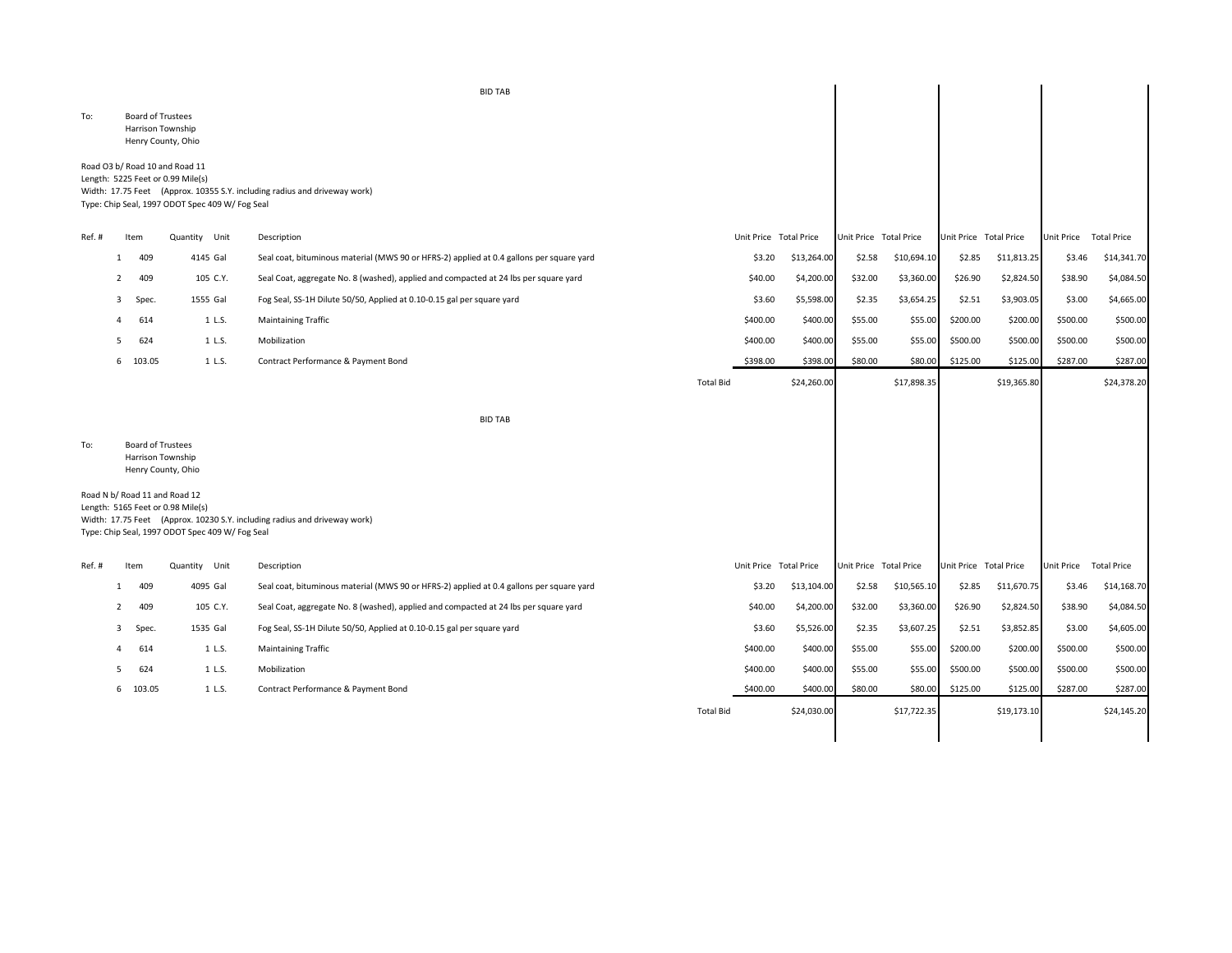|       |                |                                               |                                                                                                                        | <b>BID TAB</b>                                                                           |                  |          |                        |                        |             |                        |             |                   |                    |
|-------|----------------|-----------------------------------------------|------------------------------------------------------------------------------------------------------------------------|------------------------------------------------------------------------------------------|------------------|----------|------------------------|------------------------|-------------|------------------------|-------------|-------------------|--------------------|
| To:   |                | <b>Board of Trustees</b><br>Harrison Township | Henry County, Ohio                                                                                                     |                                                                                          |                  |          |                        |                        |             |                        |             |                   |                    |
|       |                |                                               | Road O3 b/ Road 10 and Road 11<br>Length: 5225 Feet or 0.99 Mile(s)<br>Type: Chip Seal, 1997 ODOT Spec 409 W/ Fog Seal | Width: 17.75 Feet (Approx. 10355 S.Y. including radius and driveway work)                |                  |          |                        |                        |             |                        |             |                   |                    |
| Ref.# |                | Item                                          | Quantity Unit                                                                                                          | Description                                                                              |                  |          | Unit Price Total Price | Unit Price Total Price |             | Unit Price Total Price |             | Unit Price        | <b>Total Price</b> |
|       | -1             | 409                                           | 4145 Gal                                                                                                               | Seal coat, bituminous material (MWS 90 or HFRS-2) applied at 0.4 gallons per square yard |                  | \$3.20   | \$13,264.00            | \$2.58                 | \$10,694.10 | \$2.85                 | \$11,813.25 | \$3.46            | \$14,341.70        |
|       | $\overline{2}$ | 409                                           | 105 C.Y.                                                                                                               | Seal Coat, aggregate No. 8 (washed), applied and compacted at 24 lbs per square yard     |                  | \$40.00  | \$4,200.00             | \$32.00                | \$3,360.00  | \$26.90                | \$2,824.50  | \$38.90           | \$4,084.50         |
|       | 3              | Spec.                                         | 1555 Gal                                                                                                               | Fog Seal, SS-1H Dilute 50/50, Applied at 0.10-0.15 gal per square yard                   |                  | \$3.60   | \$5,598.00             | \$2.35                 | \$3,654.25  | \$2.51                 | \$3,903.05  | \$3.00            | \$4,665.00         |
|       |                | 614                                           | 1 L.S.                                                                                                                 | <b>Maintaining Traffic</b>                                                               |                  | \$400.00 | \$400.00               | \$55.00                | \$55.00     | \$200.00               | \$200.00    | \$500.00          | \$500.00           |
|       |                | 624                                           | 1 L.S.                                                                                                                 | Mobilization                                                                             |                  | \$400.00 | \$400.00               | \$55.00                | \$55.00     | \$500.00               | \$500.00    | \$500.00          | \$500.00           |
|       |                | 6 103.05                                      | 1 L.S.                                                                                                                 | Contract Performance & Payment Bond                                                      |                  | \$398.00 | \$398.00               | \$80.00                | \$80.00     | \$125.00               | \$125.00    | \$287.00          | \$287.00           |
|       |                |                                               |                                                                                                                        |                                                                                          | <b>Total Bid</b> |          | \$24,260.00            |                        | \$17,898.35 |                        | \$19,365.80 |                   | \$24,378.20        |
|       |                |                                               |                                                                                                                        | <b>BID TAB</b>                                                                           |                  |          |                        |                        |             |                        |             |                   |                    |
| To:   |                | <b>Board of Trustees</b><br>Harrison Township | Henry County, Ohio                                                                                                     |                                                                                          |                  |          |                        |                        |             |                        |             |                   |                    |
|       |                |                                               | Road N b/ Road 11 and Road 12<br>Length: 5165 Feet or 0.98 Mile(s)<br>Type: Chip Seal, 1997 ODOT Spec 409 W/ Fog Seal  | Width: 17.75 Feet (Approx. 10230 S.Y. including radius and driveway work)                |                  |          |                        |                        |             |                        |             |                   |                    |
| Ref.# |                | Item                                          | Quantity Unit                                                                                                          | Description                                                                              |                  |          | Unit Price Total Price | Unit Price Total Price |             | Unit Price Total Price |             | <b>Unit Price</b> | <b>Total Price</b> |
|       | -1             | 409                                           | 4095 Gal                                                                                                               | Seal coat, bituminous material (MWS 90 or HFRS-2) applied at 0.4 gallons per square yard |                  | \$3.20   | \$13,104.00            | \$2.58                 | \$10,565.10 | \$2.85                 | \$11,670.75 | \$3.46            | \$14,168.70        |
|       | 2              | 409                                           | 105 C.Y.                                                                                                               | Seal Coat, aggregate No. 8 (washed), applied and compacted at 24 lbs per square yard     |                  | \$40.00  | \$4,200.00             | \$32.00                | \$3,360.00  | \$26.90                | \$2,824.50  | \$38.90           | \$4,084.50         |
|       | 3              | Spec.                                         | 1535 Gal                                                                                                               | Fog Seal, SS-1H Dilute 50/50, Applied at 0.10-0.15 gal per square yard                   |                  | \$3.60   | \$5,526.00             | \$2.35                 | \$3,607.25  | \$2.51                 | \$3,852.85  | \$3.00            | \$4,605.00         |
|       |                | 614                                           | 1 L.S.                                                                                                                 | <b>Maintaining Traffic</b>                                                               |                  | \$400.00 | \$400.00               | \$55.00                | \$55.00     | \$200.00               | \$200.00    | \$500.00          | \$500.00           |
|       |                | 624                                           | 1 L.S.                                                                                                                 | Mobilization                                                                             |                  | \$400.00 | \$400.00               | \$55.00                | \$55.00     | \$500.00               | \$500.00    | \$500.00          | \$500.00           |
|       |                | 6 103.05                                      | 1 L.S.                                                                                                                 | Contract Performance & Payment Bond                                                      |                  | \$400.00 | \$400.00               | \$80.00                | \$80.00     | \$125.00               | \$125.00    | \$287.00          | \$287.00           |
|       |                |                                               |                                                                                                                        |                                                                                          | <b>Total Bid</b> |          | \$24,030.00            |                        | \$17,722.35 |                        | \$19,173.10 |                   | \$24,145.20        |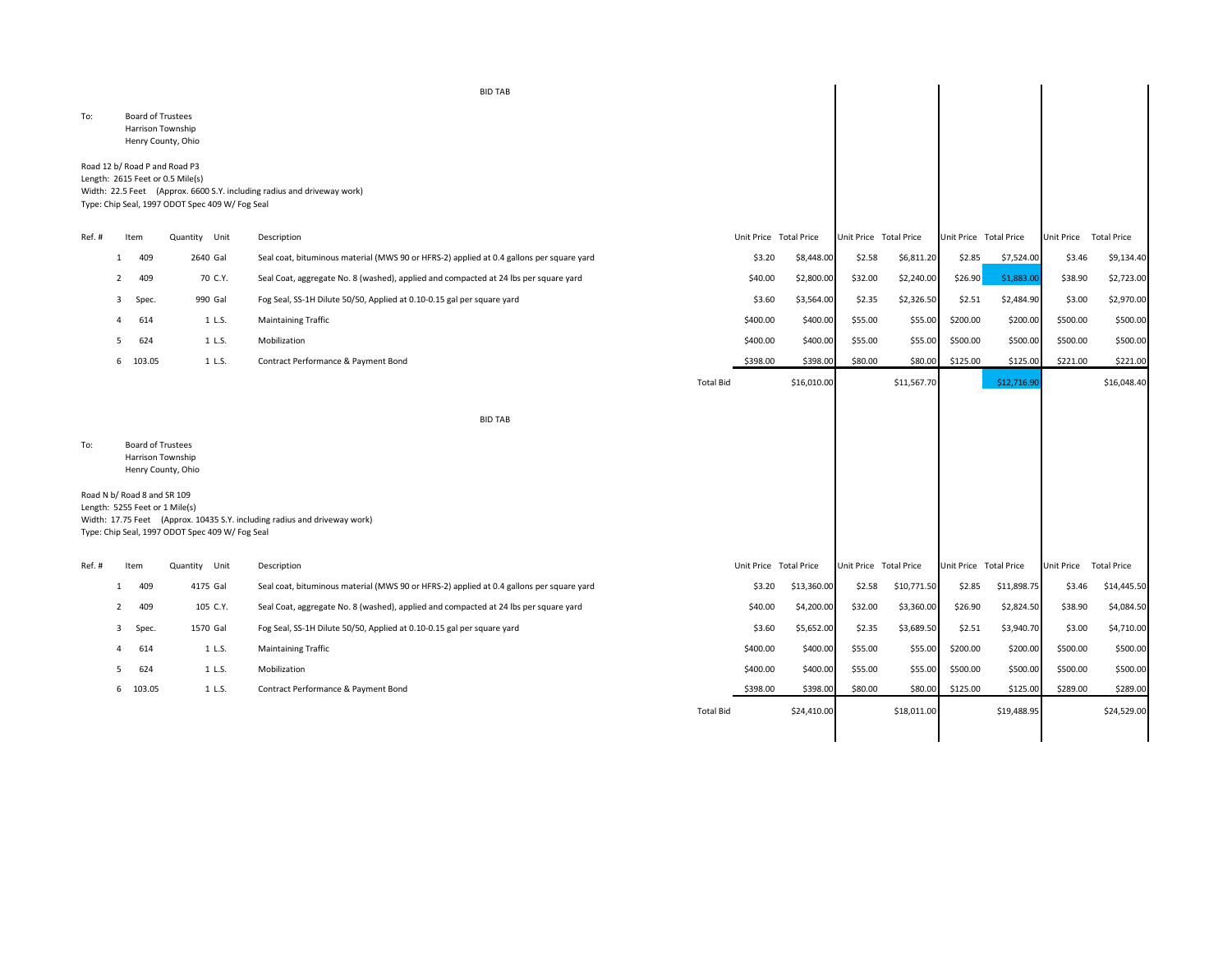|        |   |          |                                                                                                                      | <b>BID TAB</b>                                                                           |                  |          |                        |                        |             |          |                        |                        |             |
|--------|---|----------|----------------------------------------------------------------------------------------------------------------------|------------------------------------------------------------------------------------------|------------------|----------|------------------------|------------------------|-------------|----------|------------------------|------------------------|-------------|
| To:    |   |          | <b>Board of Trustees</b><br>Harrison Township<br>Henry County, Ohio                                                  |                                                                                          |                  |          |                        |                        |             |          |                        |                        |             |
|        |   |          | Road 12 b/ Road P and Road P3<br>Length: 2615 Feet or 0.5 Mile(s)<br>Type: Chip Seal, 1997 ODOT Spec 409 W/ Fog Seal | Width: 22.5 Feet (Approx. 6600 S.Y. including radius and driveway work)                  |                  |          |                        |                        |             |          |                        |                        |             |
| Ref.#  |   | Item     | Quantity Unit                                                                                                        | Description                                                                              |                  |          | Unit Price Total Price | Unit Price Total Price |             |          | Unit Price Total Price | Unit Price Total Price |             |
|        | 1 | 409      | 2640 Gal                                                                                                             | Seal coat, bituminous material (MWS 90 or HFRS-2) applied at 0.4 gallons per square yard |                  | \$3.20   | \$8,448.00             | \$2.58                 | \$6,811.20  | \$2.85   | \$7,524.00             | \$3.46                 | \$9,134.40  |
|        | 2 | 409      | 70 C.Y.                                                                                                              | Seal Coat, aggregate No. 8 (washed), applied and compacted at 24 lbs per square yard     |                  | \$40.00  | \$2,800.00             | \$32.00                | \$2,240.00  | \$26.90  | \$1,883.0              | \$38.90                | \$2,723.00  |
|        | 3 | Spec.    | 990 Gal                                                                                                              | Fog Seal, SS-1H Dilute 50/50, Applied at 0.10-0.15 gal per square yard                   |                  | \$3.60   | \$3,564.00             | \$2.35                 | \$2,326.50  | \$2.51   | \$2,484.90             | \$3.00                 | \$2,970.00  |
|        |   | 614      | 1 L.S.                                                                                                               | <b>Maintaining Traffic</b>                                                               |                  | \$400.00 | \$400.00               | \$55.00                | \$55.00     | \$200.00 | \$200.00               | \$500.00               | \$500.00    |
|        |   | 624      | 1 L.S.                                                                                                               | Mobilization                                                                             |                  | \$400.00 | \$400.00               | \$55.00                | \$55.00     | \$500.00 | \$500.00               | \$500.00               | \$500.00    |
|        |   | 6 103.05 | 1 L.S.                                                                                                               | Contract Performance & Payment Bond                                                      |                  | \$398.00 | \$398.00               | \$80.00                | \$80.00     | \$125.00 | \$125.00               | \$221.00               | \$221.00    |
|        |   |          |                                                                                                                      |                                                                                          | <b>Total Bid</b> |          | \$16,010.00            |                        | \$11,567.70 |          | \$12,716.90            |                        | \$16,048.40 |
| To:    |   |          | <b>Board of Trustees</b><br>Harrison Township<br>Henry County, Ohio                                                  | <b>BID TAB</b>                                                                           |                  |          |                        |                        |             |          |                        |                        |             |
|        |   |          | Road N b/ Road 8 and SR 109<br>Length: 5255 Feet or 1 Mile(s)<br>Type: Chip Seal, 1997 ODOT Spec 409 W/ Fog Seal     | Width: 17.75 Feet (Approx. 10435 S.Y. including radius and driveway work)                |                  |          |                        |                        |             |          |                        |                        |             |
| Ref. # |   | Item     | Quantity Unit                                                                                                        | Description                                                                              |                  |          | Unit Price Total Price | Unit Price Total Price |             |          | Unit Price Total Price | Unit Price Total Price |             |
|        | 1 | 409      | 4175 Gal                                                                                                             | Seal coat, bituminous material (MWS 90 or HFRS-2) applied at 0.4 gallons per square yard |                  | \$3.20   | \$13,360.00            | \$2.58                 | \$10,771.50 | \$2.85   | \$11,898.75            | \$3.46                 | \$14,445.50 |
|        |   | 409      | 105 C.Y.                                                                                                             | Seal Coat, aggregate No. 8 (washed), applied and compacted at 24 lbs per square yard     |                  | \$40.00  | \$4,200.00             | \$32.00                | \$3,360.00  | \$26.90  | \$2,824.50             | \$38.90                | \$4,084.50  |
|        | 3 | Spec.    | 1570 Gal                                                                                                             | Fog Seal, SS-1H Dilute 50/50, Applied at 0.10-0.15 gal per square yard                   |                  | \$3.60   | \$5,652.00             | \$2.35                 | \$3,689.50  | \$2.51   | \$3,940.70             | \$3.00                 | \$4,710.00  |
|        |   | 614      | 1 L.S.                                                                                                               | <b>Maintaining Traffic</b>                                                               |                  | \$400.00 | \$400.00               | \$55.00                | \$55.00     | \$200.00 | \$200.00               | \$500.00               | \$500.00    |
|        |   | 624      | 1 L.S.                                                                                                               | Mobilization                                                                             |                  | \$400.00 | \$400.00               | \$55.00                | \$55.00     | \$500.00 | \$500.00               | \$500.00               | \$500.00    |
|        |   | 6 103.05 | 1 L.S.                                                                                                               | Contract Performance & Payment Bond                                                      |                  | \$398.00 | \$398.00               | \$80.00                | \$80.00     | \$125.00 | \$125.00               | \$289.00               | \$289.00    |

Total Bid \$24,410.00 \$18,011.00 \$19,488.95 \$24,529.00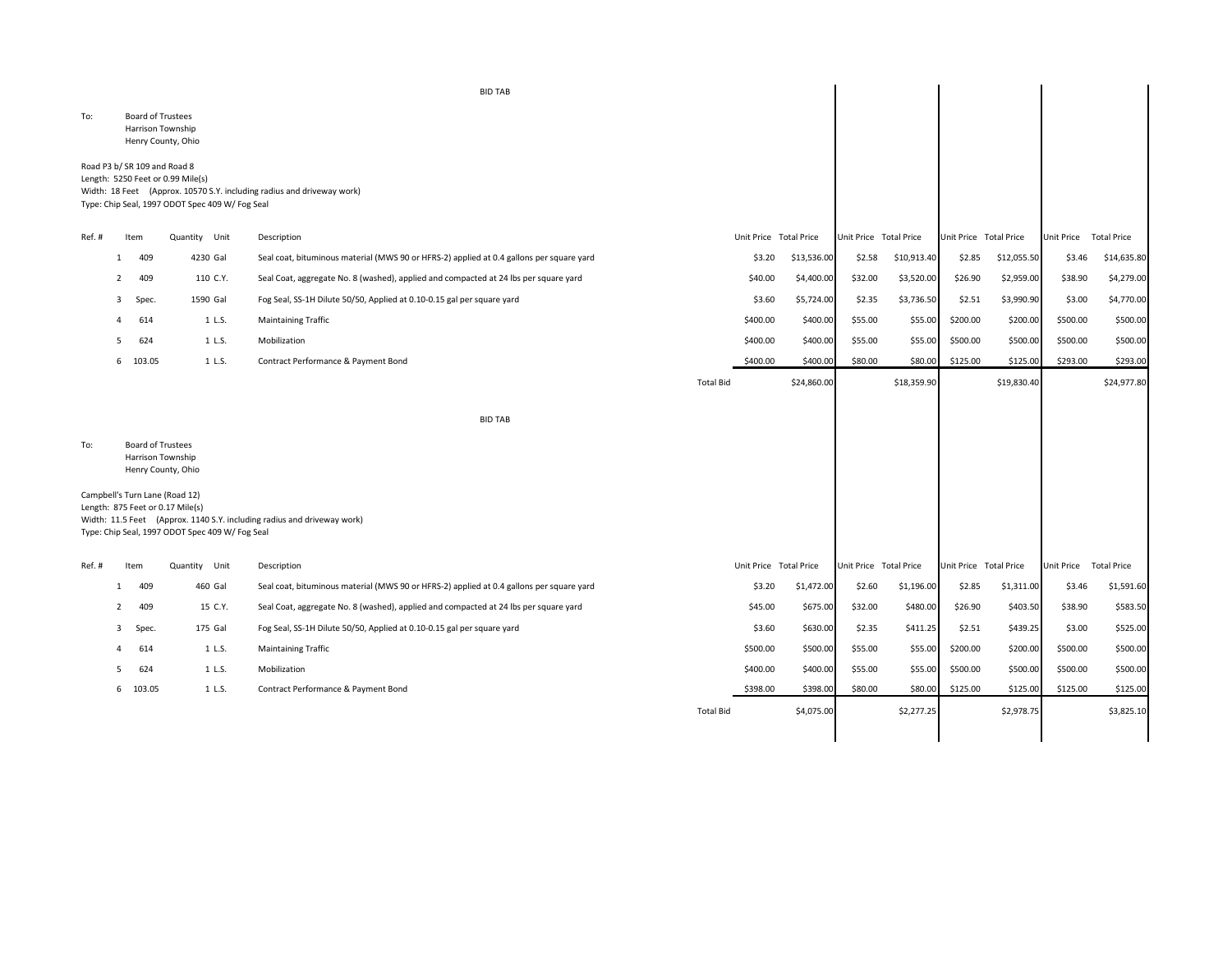|        |                |                                               |                                                                                                                       | <b>BID TAB</b>                                                                           |                  |                        |             |                        |             |                        |             |                   |                    |
|--------|----------------|-----------------------------------------------|-----------------------------------------------------------------------------------------------------------------------|------------------------------------------------------------------------------------------|------------------|------------------------|-------------|------------------------|-------------|------------------------|-------------|-------------------|--------------------|
| To:    |                | <b>Board of Trustees</b><br>Harrison Township | Henry County, Ohio                                                                                                    |                                                                                          |                  |                        |             |                        |             |                        |             |                   |                    |
|        |                | Road P3 b/ SR 109 and Road 8                  | Length: 5250 Feet or 0.99 Mile(s)<br>Type: Chip Seal, 1997 ODOT Spec 409 W/ Fog Seal                                  | Width: 18 Feet (Approx. 10570 S.Y. including radius and driveway work)                   |                  |                        |             |                        |             |                        |             |                   |                    |
| Ref.#  |                | Item                                          | Quantity Unit                                                                                                         | Description                                                                              |                  | Unit Price Total Price |             | Unit Price Total Price |             | Unit Price Total Price |             | <b>Unit Price</b> | <b>Total Price</b> |
|        | -1             | 409                                           | 4230 Gal                                                                                                              | Seal coat, bituminous material (MWS 90 or HFRS-2) applied at 0.4 gallons per square yard |                  | \$3.20                 | \$13,536.00 | \$2.58                 | \$10,913.40 | \$2.85                 | \$12,055.50 | \$3.46            | \$14,635.80        |
|        | 2              | 409                                           | 110 C.Y.                                                                                                              | Seal Coat, aggregate No. 8 (washed), applied and compacted at 24 lbs per square yard     |                  | \$40.00                | \$4,400.00  | \$32.00                | \$3,520.00  | \$26.90                | \$2,959.00  | \$38.90           | \$4,279.00         |
|        | 3              | Spec.                                         | 1590 Gal                                                                                                              | Fog Seal, SS-1H Dilute 50/50, Applied at 0.10-0.15 gal per square yard                   |                  | \$3.60                 | \$5,724.00  | \$2.35                 | \$3,736.50  | \$2.51                 | \$3,990.90  | \$3.00            | \$4,770.00         |
|        | 4              | 614                                           | 1 L.S.                                                                                                                | <b>Maintaining Traffic</b>                                                               |                  | \$400.00               | \$400.00    | \$55.00                | \$55.00     | \$200.00               | \$200.00    | \$500.00          | \$500.00           |
|        | - 5            | 624                                           | 1 L.S.                                                                                                                | Mobilization                                                                             |                  | \$400.00               | \$400.00    | \$55.00                | \$55.00     | \$500.00               | \$500.00    | \$500.00          | \$500.00           |
|        |                | 6 103.05                                      | 1 L.S.                                                                                                                | Contract Performance & Payment Bond                                                      |                  | \$400.00               | \$400.00    | \$80.00                | \$80.00     | \$125.00               | \$125.00    | \$293.00          | \$293.00           |
|        |                |                                               |                                                                                                                       |                                                                                          | <b>Total Bid</b> |                        | \$24,860.00 |                        | \$18,359.90 |                        | \$19,830.40 |                   | \$24,977.80        |
|        |                |                                               |                                                                                                                       | <b>BID TAB</b>                                                                           |                  |                        |             |                        |             |                        |             |                   |                    |
| To:    |                | <b>Board of Trustees</b><br>Harrison Township | Henry County, Ohio                                                                                                    |                                                                                          |                  |                        |             |                        |             |                        |             |                   |                    |
|        |                |                                               | Campbell's Turn Lane (Road 12)<br>Length: 875 Feet or 0.17 Mile(s)<br>Type: Chip Seal, 1997 ODOT Spec 409 W/ Fog Seal | Width: 11.5 Feet (Approx. 1140 S.Y. including radius and driveway work)                  |                  |                        |             |                        |             |                        |             |                   |                    |
| Ref. # |                | Item                                          | Quantity Unit                                                                                                         | Description                                                                              |                  | Unit Price Total Price |             | Unit Price Total Price |             | Unit Price Total Price |             | <b>Unit Price</b> | <b>Total Price</b> |
|        | -1             | 409                                           | 460 Gal                                                                                                               | Seal coat, bituminous material (MWS 90 or HFRS-2) applied at 0.4 gallons per square yard |                  | \$3.20                 | \$1,472.00  | \$2.60                 | \$1,196.00  | \$2.85                 | \$1,311.00  | \$3.46            | \$1,591.60         |
|        | $\overline{2}$ | 409                                           | 15 C.Y.                                                                                                               | Seal Coat, aggregate No. 8 (washed), applied and compacted at 24 lbs per square yard     |                  | \$45.00                | \$675.00    | \$32.00                | \$480.00    | \$26.90                | \$403.50    | \$38.90           | \$583.50           |
|        | 3              | Spec.                                         | 175 Gal                                                                                                               | Fog Seal, SS-1H Dilute 50/50, Applied at 0.10-0.15 gal per square yard                   |                  | \$3.60                 | \$630.00    | \$2.35                 | \$411.25    | \$2.51                 | \$439.25    | \$3.00            | \$525.00           |
|        | 4              | 614                                           | 1 L.S.                                                                                                                | <b>Maintaining Traffic</b>                                                               |                  | \$500.00               | \$500.00    | \$55.00                | \$55.00     | \$200.00               | \$200.00    | \$500.00          | \$500.00           |
|        | .5             | 624                                           | 1 L.S.                                                                                                                | Mobilization                                                                             |                  | \$400.00               | \$400.00    | \$55.00                | \$55.00     | \$500.00               | \$500.00    | \$500.00          | \$500.00           |
|        |                | 6 103.05                                      | 1 L.S.                                                                                                                | Contract Performance & Payment Bond                                                      |                  | \$398.00               | \$398.00    | \$80.00                | \$80.00     | \$125.00               | \$125.00    | \$125.00          | \$125.00           |
|        |                |                                               |                                                                                                                       |                                                                                          | <b>Total Bid</b> |                        | \$4,075.00  |                        | \$2,277.25  |                        | \$2,978.75  |                   | \$3,825.10         |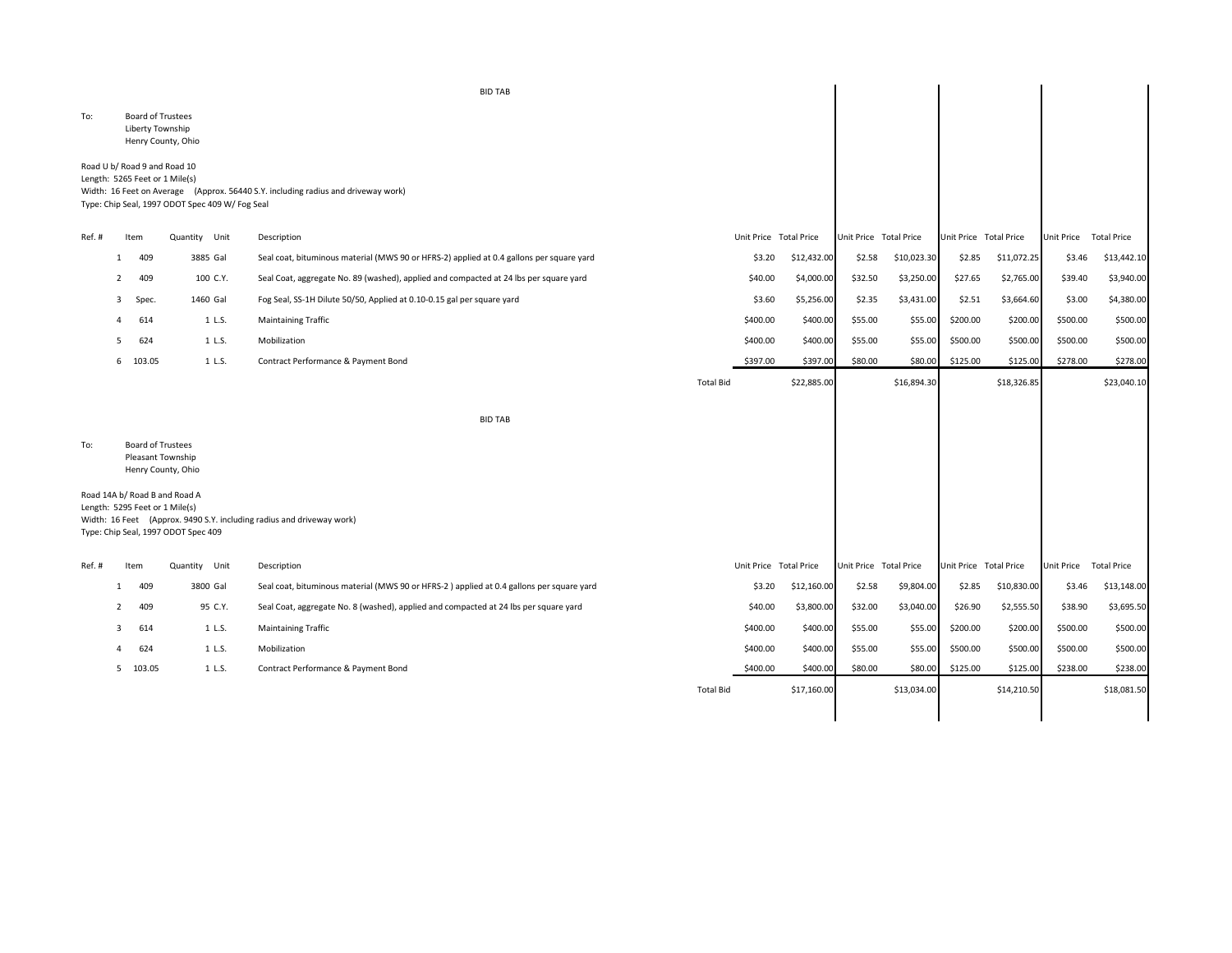|        |              |                                                                |                                                                      | <b>BID TAB</b>                                                                           |                  |                        |             |                        |             |                        |             |                        |                    |
|--------|--------------|----------------------------------------------------------------|----------------------------------------------------------------------|------------------------------------------------------------------------------------------|------------------|------------------------|-------------|------------------------|-------------|------------------------|-------------|------------------------|--------------------|
| To:    |              | <b>Board of Trustees</b><br>Liberty Township                   | Henry County, Ohio                                                   |                                                                                          |                  |                        |             |                        |             |                        |             |                        |                    |
|        |              | Road U b/ Road 9 and Road 10<br>Length: 5265 Feet or 1 Mile(s) | Type: Chip Seal, 1997 ODOT Spec 409 W/ Fog Seal                      | Width: 16 Feet on Average (Approx. 56440 S.Y. including radius and driveway work)        |                  |                        |             |                        |             |                        |             |                        |                    |
| Ref. # |              | Item                                                           | Quantity Unit                                                        | Description                                                                              |                  | Unit Price Total Price |             | Unit Price Total Price |             | Unit Price Total Price |             | Unit Price Total Price |                    |
|        | $\mathbf{1}$ | 409                                                            | 3885 Gal                                                             | Seal coat, bituminous material (MWS 90 or HFRS-2) applied at 0.4 gallons per square yard |                  | \$3.20                 | \$12,432.00 | \$2.58                 | \$10,023.30 | \$2.85                 | \$11,072.25 | \$3.46                 | \$13,442.10        |
|        | 2            | 409                                                            | 100 C.Y.                                                             | Seal Coat, aggregate No. 89 (washed), applied and compacted at 24 lbs per square yard    |                  | \$40.00                | \$4,000.00  | \$32.50                | \$3,250.00  | \$27.65                | \$2,765.00  | \$39.40                | \$3,940.00         |
|        | 3            | Spec.                                                          | 1460 Gal                                                             | Fog Seal, SS-1H Dilute 50/50, Applied at 0.10-0.15 gal per square yard                   |                  | \$3.60                 | \$5,256.00  | \$2.35                 | \$3,431.00  | \$2.51                 | \$3,664.60  | \$3.00                 | \$4,380.00         |
|        | 4            | 614                                                            | 1 L.S.                                                               | <b>Maintaining Traffic</b>                                                               |                  | \$400.00               | \$400.00    | \$55.00                | \$55.00     | \$200.00               | \$200.00    | \$500.00               | \$500.00           |
|        | .5           | 624                                                            | 1 L.S.                                                               | Mobilization                                                                             |                  | \$400.00               | \$400.00    | \$55.00                | \$55.00     | \$500.00               | \$500.00    | \$500.00               | \$500.00           |
|        |              | 6 103.05                                                       | 1 L.S.                                                               | Contract Performance & Payment Bond                                                      |                  | \$397.00               | \$397.00    | \$80.00                | \$80.00     | \$125.00               | \$125.00    | \$278.00               | \$278.00           |
|        |              |                                                                |                                                                      |                                                                                          | <b>Total Bid</b> |                        | \$22,885.00 |                        | \$16,894.30 |                        | \$18,326.85 |                        | \$23,040.10        |
|        |              |                                                                |                                                                      | <b>BID TAB</b>                                                                           |                  |                        |             |                        |             |                        |             |                        |                    |
| To:    |              | <b>Board of Trustees</b><br>Pleasant Township                  | Henry County, Ohio                                                   |                                                                                          |                  |                        |             |                        |             |                        |             |                        |                    |
|        |              | Length: 5295 Feet or 1 Mile(s)                                 | Road 14A b/ Road B and Road A<br>Type: Chip Seal, 1997 ODOT Spec 409 | Width: 16 Feet (Approx. 9490 S.Y. including radius and driveway work)                    |                  |                        |             |                        |             |                        |             |                        |                    |
| Ref. # |              | Item                                                           | Quantity Unit                                                        | Description                                                                              |                  | Unit Price Total Price |             | Unit Price Total Price |             | Unit Price Total Price |             | Unit Price             | <b>Total Price</b> |
|        | 1            | 409                                                            | 3800 Gal                                                             | Seal coat, bituminous material (MWS 90 or HFRS-2) applied at 0.4 gallons per square yard |                  | \$3.20                 | \$12,160.00 | \$2.58                 | \$9,804.00  | \$2.85                 | \$10,830.00 | \$3.46                 | \$13,148.00        |
|        | 2            | 409                                                            | 95 C.Y.                                                              | Seal Coat, aggregate No. 8 (washed), applied and compacted at 24 lbs per square yard     |                  | \$40.00                | \$3,800.00  | \$32.00                | \$3,040.00  | \$26.90                | \$2,555.50  | \$38.90                | \$3,695.50         |
|        | 3            | 614                                                            | 1 L.S.                                                               | <b>Maintaining Traffic</b>                                                               |                  | \$400.00               | \$400.00    | \$55.00                | \$55.00     | \$200.00               | \$200.00    | \$500.00               | \$500.00           |
|        |              | 624                                                            | 1 L.S.                                                               | Mobilization                                                                             |                  | \$400.00               | \$400.00    | \$55.00                | \$55.00     | \$500.00               | \$500.00    | \$500.00               | \$500.00           |
|        |              | 5 103.05                                                       | 1 L.S.                                                               | Contract Performance & Payment Bond                                                      |                  | \$400.00               | \$400.00    | \$80.00                | \$80.00     | \$125.00               | \$125.00    | \$238.00               | \$238.00           |
|        |              |                                                                |                                                                      |                                                                                          | <b>Total Bid</b> |                        | \$17,160.00 |                        | \$13,034.00 |                        | \$14,210.50 |                        | \$18,081.50        |
|        |              |                                                                |                                                                      |                                                                                          |                  |                        |             |                        |             |                        |             |                        |                    |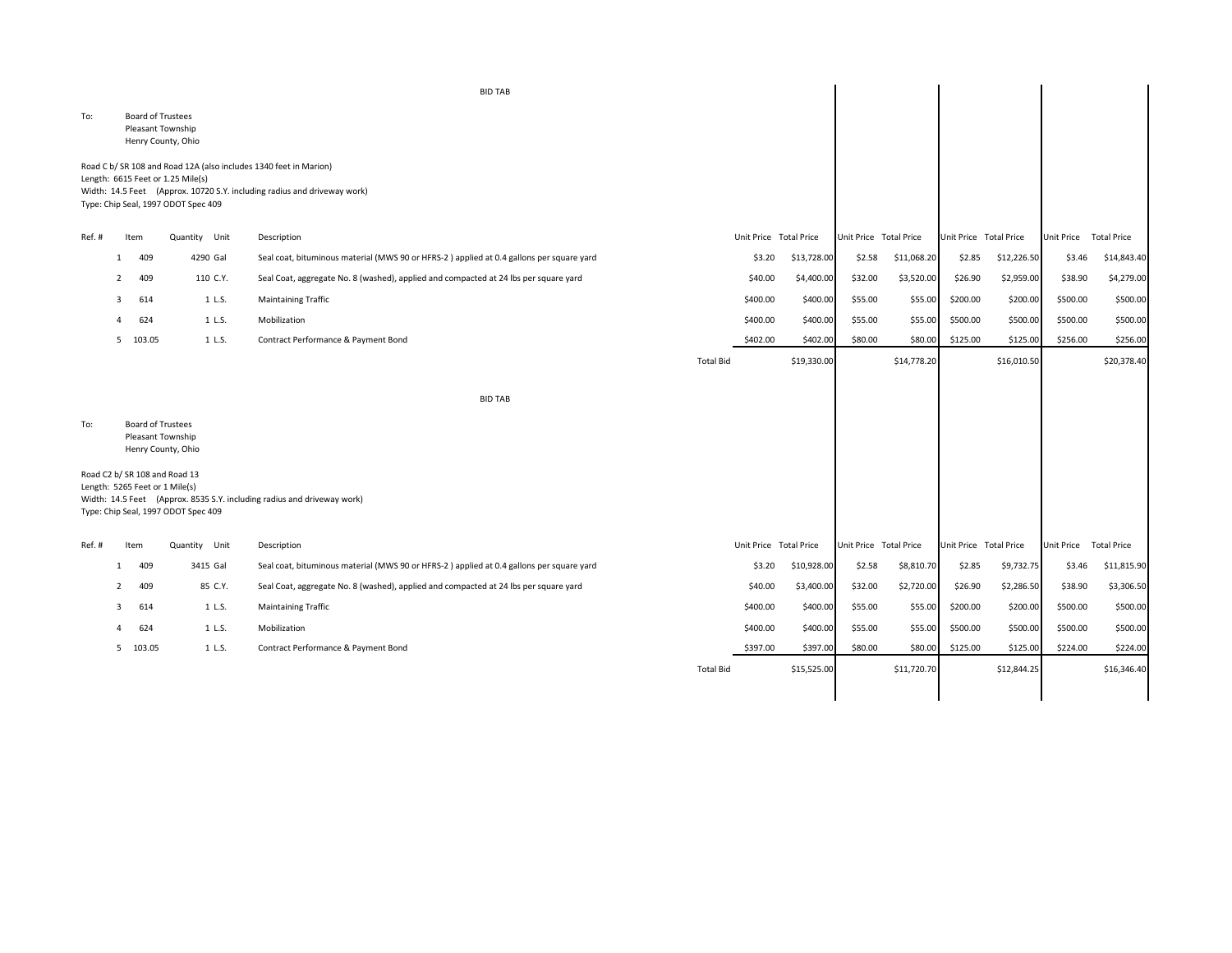|        |              |                                               |                                                                                                                                               | <b>BID TAB</b>                                                                           |                  |                        |             |                        |             |                        |             |                        |                    |
|--------|--------------|-----------------------------------------------|-----------------------------------------------------------------------------------------------------------------------------------------------|------------------------------------------------------------------------------------------|------------------|------------------------|-------------|------------------------|-------------|------------------------|-------------|------------------------|--------------------|
| To:    |              | <b>Board of Trustees</b><br>Pleasant Township | Henry County, Ohio                                                                                                                            |                                                                                          |                  |                        |             |                        |             |                        |             |                        |                    |
|        |              |                                               | Road C b/ SR 108 and Road 12A (also includes 1340 feet in Marion)<br>Length: 6615 Feet or 1.25 Mile(s)<br>Type: Chip Seal, 1997 ODOT Spec 409 | Width: 14.5 Feet (Approx. 10720 S.Y. including radius and driveway work)                 |                  |                        |             |                        |             |                        |             |                        |                    |
| Ref.#  |              | Item                                          | Quantity Unit                                                                                                                                 | Description                                                                              |                  | Unit Price Total Price |             | Unit Price Total Price |             | Unit Price Total Price |             | Unit Price             | <b>Total Price</b> |
|        | $\mathbf{1}$ | 409                                           | 4290 Gal                                                                                                                                      | Seal coat, bituminous material (MWS 90 or HFRS-2) applied at 0.4 gallons per square yard |                  | \$3.20                 | \$13,728.00 | \$2.58                 | \$11,068.20 | \$2.85                 | \$12,226.50 | \$3.46                 | \$14,843.40        |
|        | 2            | 409                                           | 110 C.Y.                                                                                                                                      | Seal Coat, aggregate No. 8 (washed), applied and compacted at 24 lbs per square yard     |                  | \$40.00                | \$4,400.00  | \$32.00                | \$3,520.00  | \$26.90                | \$2,959.00  | \$38.90                | \$4,279.00         |
|        | 3            | 614                                           | 1 L.S.                                                                                                                                        | <b>Maintaining Traffic</b>                                                               |                  | \$400.00               | \$400.00    | \$55.00                | \$55.00     | \$200.00               | \$200.00    | \$500.00               | \$500.00           |
|        | $\mathbf{A}$ | 624                                           | 1 L.S.                                                                                                                                        | Mobilization                                                                             |                  | \$400.00               | \$400.00    | \$55.00                | \$55.00     | \$500.00               | \$500.00    | \$500.00               | \$500.00           |
|        |              | 5 103.05                                      | 1 L.S.                                                                                                                                        | Contract Performance & Payment Bond                                                      |                  | \$402.00               | \$402.00    | \$80.00                | \$80.00     | \$125.00               | \$125.00    | \$256.00               | \$256.00           |
|        |              |                                               |                                                                                                                                               |                                                                                          | <b>Total Bid</b> |                        | \$19,330.00 |                        | \$14,778.20 |                        | \$16,010.50 |                        | \$20,378.40        |
|        |              |                                               |                                                                                                                                               | <b>BID TAB</b>                                                                           |                  |                        |             |                        |             |                        |             |                        |                    |
| To:    |              | <b>Board of Trustees</b><br>Pleasant Township | Henry County, Ohio                                                                                                                            |                                                                                          |                  |                        |             |                        |             |                        |             |                        |                    |
|        |              | Length: 5265 Feet or 1 Mile(s)                | Road C2 b/ SR 108 and Road 13<br>Type: Chip Seal, 1997 ODOT Spec 409                                                                          | Width: 14.5 Feet (Approx. 8535 S.Y. including radius and driveway work)                  |                  |                        |             |                        |             |                        |             |                        |                    |
| Ref. # |              | Item                                          | Quantity Unit                                                                                                                                 | Description                                                                              |                  | Unit Price Total Price |             | Unit Price Total Price |             | Unit Price Total Price |             | Unit Price Total Price |                    |
|        | -1           | 409                                           | 3415 Gal                                                                                                                                      | Seal coat, bituminous material (MWS 90 or HFRS-2) applied at 0.4 gallons per square yard |                  | \$3.20                 | \$10,928.00 | \$2.58                 | \$8,810.70  | \$2.85                 | \$9,732.75  | \$3.46                 | \$11,815.90        |
|        | 2            | 409                                           | 85 C.Y.                                                                                                                                       | Seal Coat, aggregate No. 8 (washed), applied and compacted at 24 lbs per square yard     |                  | \$40.00                | \$3,400.00  | \$32.00                | \$2,720.00  | \$26.90                | \$2,286.50  | \$38.90                | \$3,306.50         |
|        | 3            | 614                                           | 1 L.S.                                                                                                                                        | <b>Maintaining Traffic</b>                                                               |                  | \$400.00               | \$400.00    | \$55.00                | \$55.00     | \$200.00               | \$200.00    | \$500.00               | \$500.00           |
|        |              | 624                                           | 1 L.S.                                                                                                                                        | Mobilization                                                                             |                  | \$400.00               | \$400.00    | \$55.00                | \$55.00     | \$500.00               | \$500.00    | \$500.00               | \$500.00           |
|        |              | 5 103.05                                      | 1 L.S.                                                                                                                                        | Contract Performance & Payment Bond                                                      |                  | \$397.00               | \$397.00    | \$80.00                | \$80.00     | \$125.00               | \$125.00    | \$224.00               | \$224.00           |
|        |              |                                               |                                                                                                                                               |                                                                                          | <b>Total Bid</b> |                        | \$15,525.00 |                        | \$11,720.70 |                        | \$12,844.25 |                        | \$16,346.40        |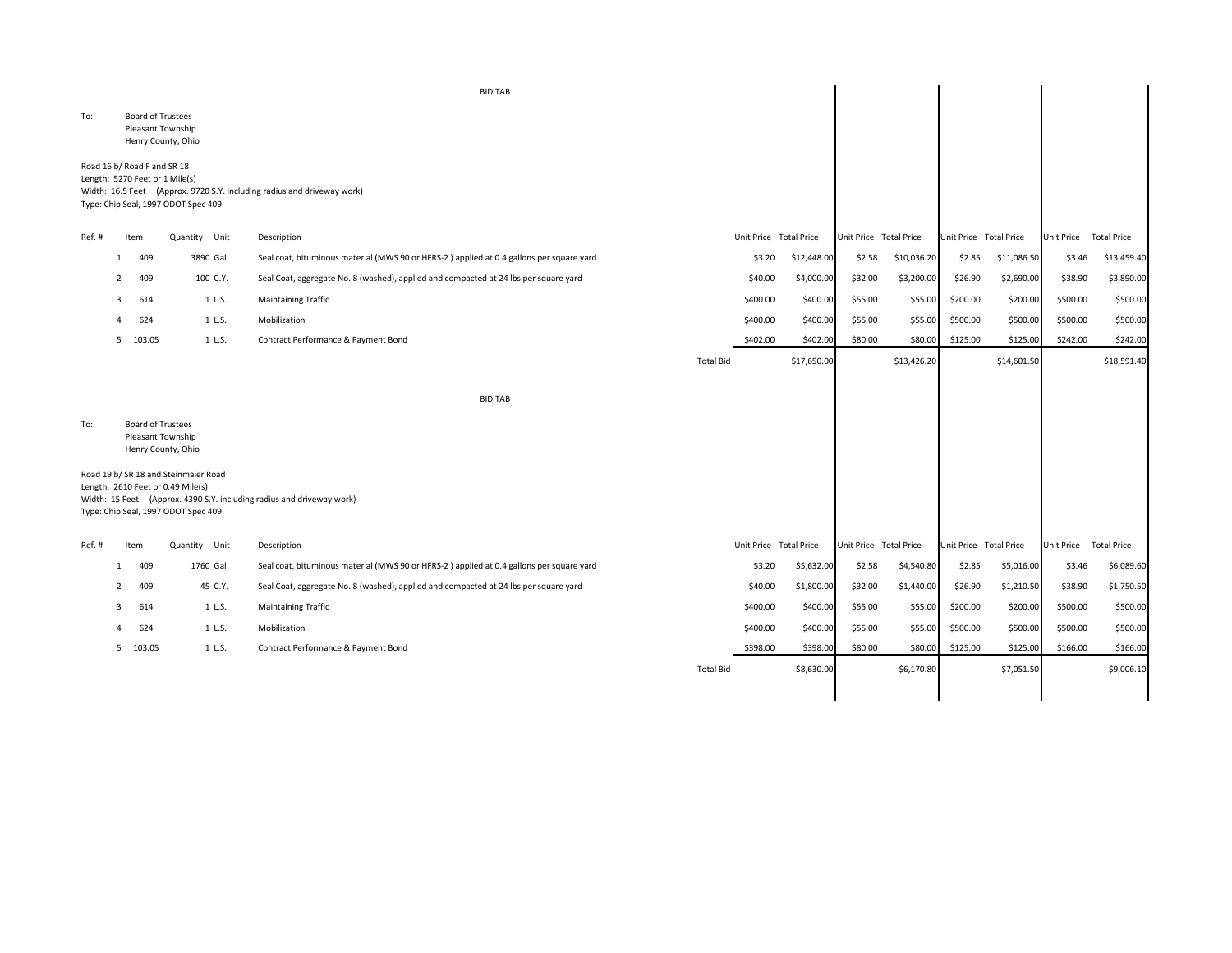|        |                |                                                               |                                                                                                                  | <b>BID TAB</b>                                                                           |                  |                        |             |                        |             |                        |             |                        |             |
|--------|----------------|---------------------------------------------------------------|------------------------------------------------------------------------------------------------------------------|------------------------------------------------------------------------------------------|------------------|------------------------|-------------|------------------------|-------------|------------------------|-------------|------------------------|-------------|
| To:    |                | <b>Board of Trustees</b><br>Pleasant Township                 | Henry County, Ohio                                                                                               |                                                                                          |                  |                        |             |                        |             |                        |             |                        |             |
|        |                | Road 16 b/ Road F and SR 18<br>Length: 5270 Feet or 1 Mile(s) | Type: Chip Seal, 1997 ODOT Spec 409                                                                              | Width: 16.5 Feet (Approx. 9720 S.Y. including radius and driveway work)                  |                  |                        |             |                        |             |                        |             |                        |             |
| Ref. # |                | Item                                                          | Quantity Unit                                                                                                    | Description                                                                              |                  | Unit Price Total Price |             | Unit Price Total Price |             | Unit Price Total Price |             | Unit Price Total Price |             |
|        | 1              | 409                                                           | 3890 Gal                                                                                                         | Seal coat, bituminous material (MWS 90 or HFRS-2) applied at 0.4 gallons per square yard |                  | \$3.20                 | \$12,448.00 | \$2.58                 | \$10,036.20 | \$2.85                 | \$11,086.50 | \$3.46                 | \$13,459.40 |
|        | 2              | 409                                                           | 100 C.Y.                                                                                                         | Seal Coat, aggregate No. 8 (washed), applied and compacted at 24 lbs per square yard     |                  | \$40.00                | \$4,000.00  | \$32.00                | \$3,200.00  | \$26.90                | \$2,690.00  | \$38.90                | \$3,890.00  |
|        | -3             | 614                                                           | 1 L.S.                                                                                                           | <b>Maintaining Traffic</b>                                                               |                  | \$400.00               | \$400.00    | \$55.00                | \$55.00     | \$200.00               | \$200.00    | \$500.00               | \$500.00    |
|        | $\overline{a}$ | 624                                                           | 1 L.S.                                                                                                           | Mobilization                                                                             |                  | \$400.00               | \$400.00    | \$55.00                | \$55.00     | \$500.00               | \$500.00    | \$500.00               | \$500.00    |
|        |                | 5 103.05                                                      | 1 L.S.                                                                                                           | Contract Performance & Payment Bond                                                      |                  | \$402.00               | \$402.00    | \$80.00                | \$80.00     | \$125.00               | \$125.00    | \$242.00               | \$242.00    |
|        |                |                                                               |                                                                                                                  |                                                                                          | <b>Total Bid</b> |                        | \$17,650.00 |                        | \$13,426.20 |                        | \$14,601.50 |                        | \$18,591.40 |
|        |                |                                                               |                                                                                                                  | <b>BID TAB</b>                                                                           |                  |                        |             |                        |             |                        |             |                        |             |
| To:    |                | <b>Board of Trustees</b><br>Pleasant Township                 | Henry County, Ohio                                                                                               |                                                                                          |                  |                        |             |                        |             |                        |             |                        |             |
|        |                |                                                               | Road 19 b/ SR 18 and Steinmaier Road<br>Length: 2610 Feet or 0.49 Mile(s)<br>Type: Chip Seal, 1997 ODOT Spec 409 | Width: 15 Feet (Approx. 4390 S.Y. including radius and driveway work)                    |                  |                        |             |                        |             |                        |             |                        |             |
| Ref.#  |                | Item                                                          | Quantity Unit                                                                                                    | Description                                                                              |                  | Unit Price Total Price |             | Unit Price Total Price |             | Unit Price Total Price |             | Unit Price Total Price |             |
|        | 1              | 409                                                           | 1760 Gal                                                                                                         | Seal coat, bituminous material (MWS 90 or HFRS-2) applied at 0.4 gallons per square yard |                  | \$3.20                 | \$5,632.00  | \$2.58                 | \$4,540.80  | \$2.85                 | \$5,016.00  | \$3.46                 | \$6,089.60  |
|        | 2              | 409                                                           | 45 C.Y.                                                                                                          | Seal Coat, aggregate No. 8 (washed), applied and compacted at 24 lbs per square yard     |                  | \$40.00                | \$1,800.00  | \$32.00                | \$1,440.00  | \$26.90                | \$1,210.50  | \$38.90                | \$1,750.50  |
|        | 3              | 614                                                           | 1 L.S.                                                                                                           | <b>Maintaining Traffic</b>                                                               |                  | \$400.00               | \$400.00    | \$55.00                | \$55.00     | \$200.00               | \$200.00    | \$500.00               | \$500.00    |
|        | 4              | 624                                                           | 1 L.S.                                                                                                           | Mobilization                                                                             |                  | \$400.00               | \$400.00    | \$55.00                | \$55.00     | \$500.00               | \$500.00    | \$500.00               | \$500.00    |
|        |                | 5 103.05                                                      | 1 L.S.                                                                                                           | Contract Performance & Payment Bond                                                      |                  | \$398.00               | \$398.00    | \$80.00                | \$80.00     | \$125.00               | \$125.00    | \$166.00               | \$166.00    |
|        |                |                                                               |                                                                                                                  |                                                                                          | <b>Total Bid</b> |                        | \$8,630.00  |                        | \$6,170.80  |                        | \$7,051.50  |                        | \$9,006.10  |
|        |                |                                                               |                                                                                                                  |                                                                                          |                  |                        |             |                        |             |                        |             |                        |             |
|        |                |                                                               |                                                                                                                  |                                                                                          |                  |                        |             |                        |             |                        |             |                        |             |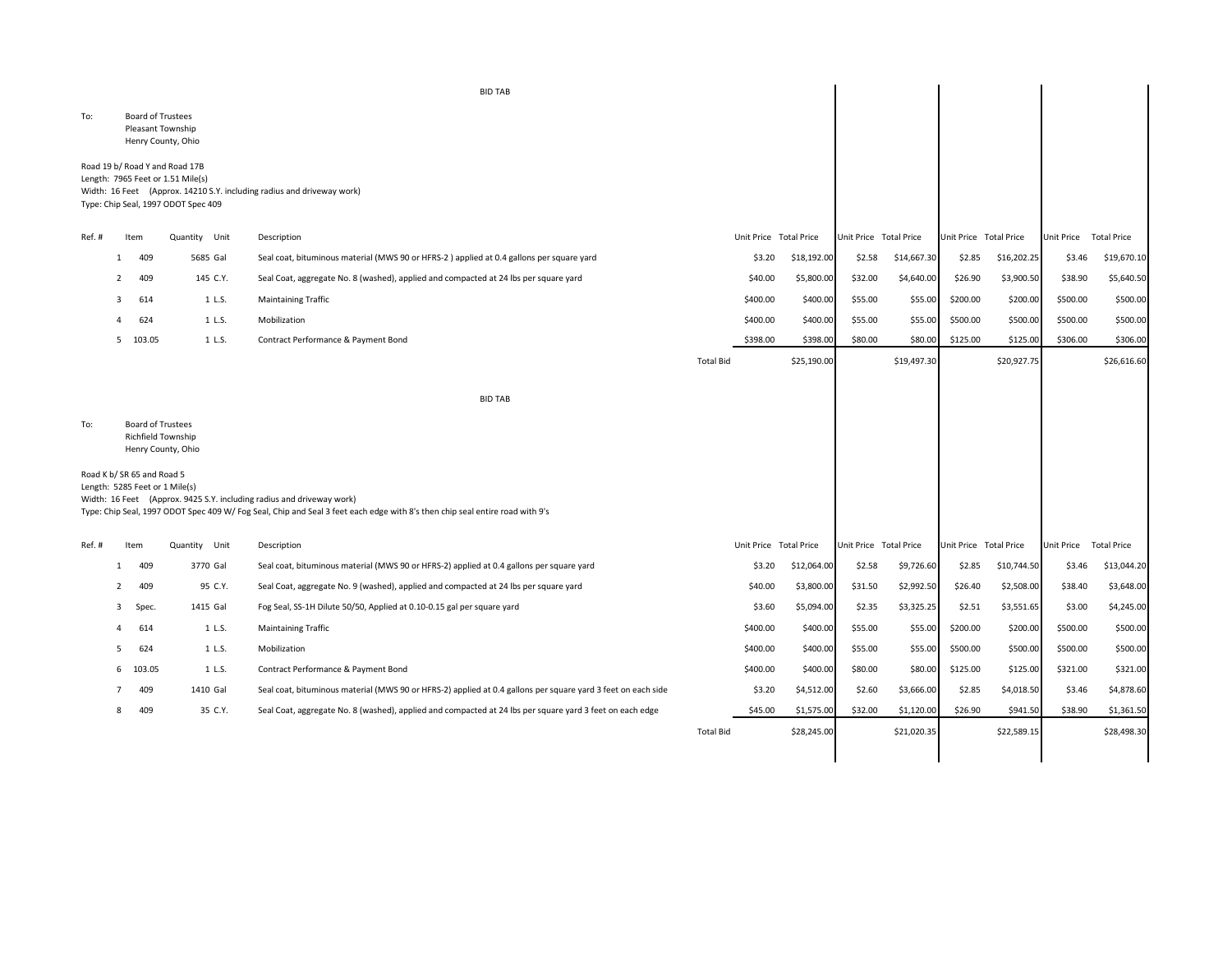|                |                            |                                                                                                            | <b>BID TAB</b>                                                                                                                                                                                       |                  |                        |             |                        |             |                        |             |                        |                                         |
|----------------|----------------------------|------------------------------------------------------------------------------------------------------------|------------------------------------------------------------------------------------------------------------------------------------------------------------------------------------------------------|------------------|------------------------|-------------|------------------------|-------------|------------------------|-------------|------------------------|-----------------------------------------|
| To:            |                            | <b>Board of Trustees</b><br>Pleasant Township<br>Henry County, Ohio                                        |                                                                                                                                                                                                      |                  |                        |             |                        |             |                        |             |                        |                                         |
|                |                            | Road 19 b/ Road Y and Road 17B<br>Length: 7965 Feet or 1.51 Mile(s)<br>Type: Chip Seal, 1997 ODOT Spec 409 | Width: 16 Feet (Approx. 14210 S.Y. including radius and driveway work)                                                                                                                               |                  |                        |             |                        |             |                        |             |                        |                                         |
| Ref. #         | Item                       | Quantity Unit                                                                                              | Description                                                                                                                                                                                          |                  | Unit Price Total Price |             | Unit Price Total Price |             | Unit Price Total Price |             | Unit Price Total Price |                                         |
|                | 409<br>1                   | 5685 Gal                                                                                                   | Seal coat, bituminous material (MWS 90 or HFRS-2) applied at 0.4 gallons per square yard                                                                                                             |                  | \$3.20                 | \$18,192.00 | \$2.58                 | \$14,667.30 | \$2.85                 | \$16,202.25 | \$3.46                 | \$19,670.10                             |
| 2              | 409                        | 145 C.Y.                                                                                                   | Seal Coat, aggregate No. 8 (washed), applied and compacted at 24 lbs per square yard                                                                                                                 |                  | \$40.00                | \$5,800.00  | \$32.00                | \$4,640.00  | \$26.90                | \$3,900.50  | \$38.90                | \$5,640.50                              |
| 3              | 614                        | 1 L.S.                                                                                                     | Maintaining Traffic                                                                                                                                                                                  |                  | \$400.00               | \$400.00    | \$55.00                | \$55.00     | \$200.00               | \$200.00    | \$500.00               | \$500.00                                |
|                | 624                        | 1 L.S.                                                                                                     | Mobilization                                                                                                                                                                                         |                  | \$400.00               | \$400.00    | \$55.00                | \$55.00     | \$500.00               | \$500.00    | \$500.00               | \$500.00                                |
|                | 5 103.05                   | 1 L.S.                                                                                                     | Contract Performance & Payment Bond                                                                                                                                                                  |                  | \$398.00               | \$398.00    | \$80.00                | \$80.00     | \$125.00               | \$125.00    | \$306.00               | \$306.00                                |
|                |                            |                                                                                                            |                                                                                                                                                                                                      | <b>Total Bid</b> |                        | \$25,190.00 |                        | \$19,497.30 |                        | \$20,927.75 |                        | \$26,616.60                             |
|                |                            |                                                                                                            | <b>BID TAB</b>                                                                                                                                                                                       |                  |                        |             |                        |             |                        |             |                        |                                         |
| To:            |                            | <b>Board of Trustees</b>                                                                                   |                                                                                                                                                                                                      |                  |                        |             |                        |             |                        |             |                        |                                         |
|                |                            | Richfield Township<br>Henry County, Ohio                                                                   |                                                                                                                                                                                                      |                  |                        |             |                        |             |                        |             |                        |                                         |
|                | Road K b/ SR 65 and Road 5 | Length: 5285 Feet or 1 Mile(s)                                                                             | Width: 16 Feet (Approx. 9425 S.Y. including radius and driveway work)<br>Type: Chip Seal, 1997 ODOT Spec 409 W/Fog Seal, Chip and Seal 3 feet each edge with 8's then chip seal entire road with 9's |                  |                        |             |                        |             |                        |             |                        |                                         |
|                | Item                       | Quantity Unit                                                                                              | Description                                                                                                                                                                                          |                  | Unit Price Total Price |             | Unit Price Total Price |             | Unit Price Total Price |             | Unit Price Total Price |                                         |
|                | 409<br>1                   | 3770 Gal                                                                                                   | Seal coat, bituminous material (MWS 90 or HFRS-2) applied at 0.4 gallons per square yard                                                                                                             |                  | \$3.20                 | \$12,064.00 | \$2.58                 | \$9,726.60  | \$2.85                 | \$10,744.50 | \$3.46                 |                                         |
| $\overline{2}$ | 409                        | 95 C.Y.                                                                                                    | Seal Coat, aggregate No. 9 (washed), applied and compacted at 24 lbs per square yard                                                                                                                 |                  | \$40.00                | \$3,800.00  | \$31.50                | \$2,992.50  | \$26.40                | \$2,508.00  | \$38.40                |                                         |
| 3              | Spec.                      | 1415 Gal                                                                                                   | Fog Seal, SS-1H Dilute 50/50, Applied at 0.10-0.15 gal per square yard                                                                                                                               |                  | \$3.60                 | \$5,094.00  | \$2.35                 | \$3,325.25  | \$2.51                 | \$3,551.65  | \$3.00                 | \$13,044.20<br>\$3,648.00<br>\$4,245.00 |
|                | 614                        | 1 L.S.                                                                                                     | Maintaining Traffic                                                                                                                                                                                  |                  | \$400.00               | \$400.00    | \$55.00                | \$55.00     | \$200.00               | \$200.00    | \$500.00               | \$500.00                                |
| -5             | 624                        | 1 L.S.                                                                                                     | Mobilization                                                                                                                                                                                         |                  | \$400.00               | \$400.00    | \$55.00                | \$55.00     | \$500.00               | \$500.00    | \$500.00               | \$500.00                                |
| -6             | 103.05                     | 1 L.S.                                                                                                     | Contract Performance & Payment Bond                                                                                                                                                                  |                  | \$400.00               | \$400.00    | \$80.00                | \$80.00     | \$125.00               | \$125.00    | \$321.00               | \$321.00                                |
| Ref.#          | 409                        | 1410 Gal                                                                                                   | Seal coat, bituminous material (MWS 90 or HFRS-2) applied at 0.4 gallons per square yard 3 feet on each side                                                                                         |                  | \$3.20                 | \$4,512.00  | \$2.60                 | \$3,666.00  | \$2.85                 | \$4,018.50  | \$3.46                 | \$4,878.60                              |
|                | 409                        | 35 C.Y.                                                                                                    | Seal Coat, aggregate No. 8 (washed), applied and compacted at 24 lbs per square yard 3 feet on each edge                                                                                             |                  | \$45.00                | \$1,575.00  | \$32.00                | \$1,120.00  | \$26.90                | \$941.50    | \$38.90                | \$1,361.50                              |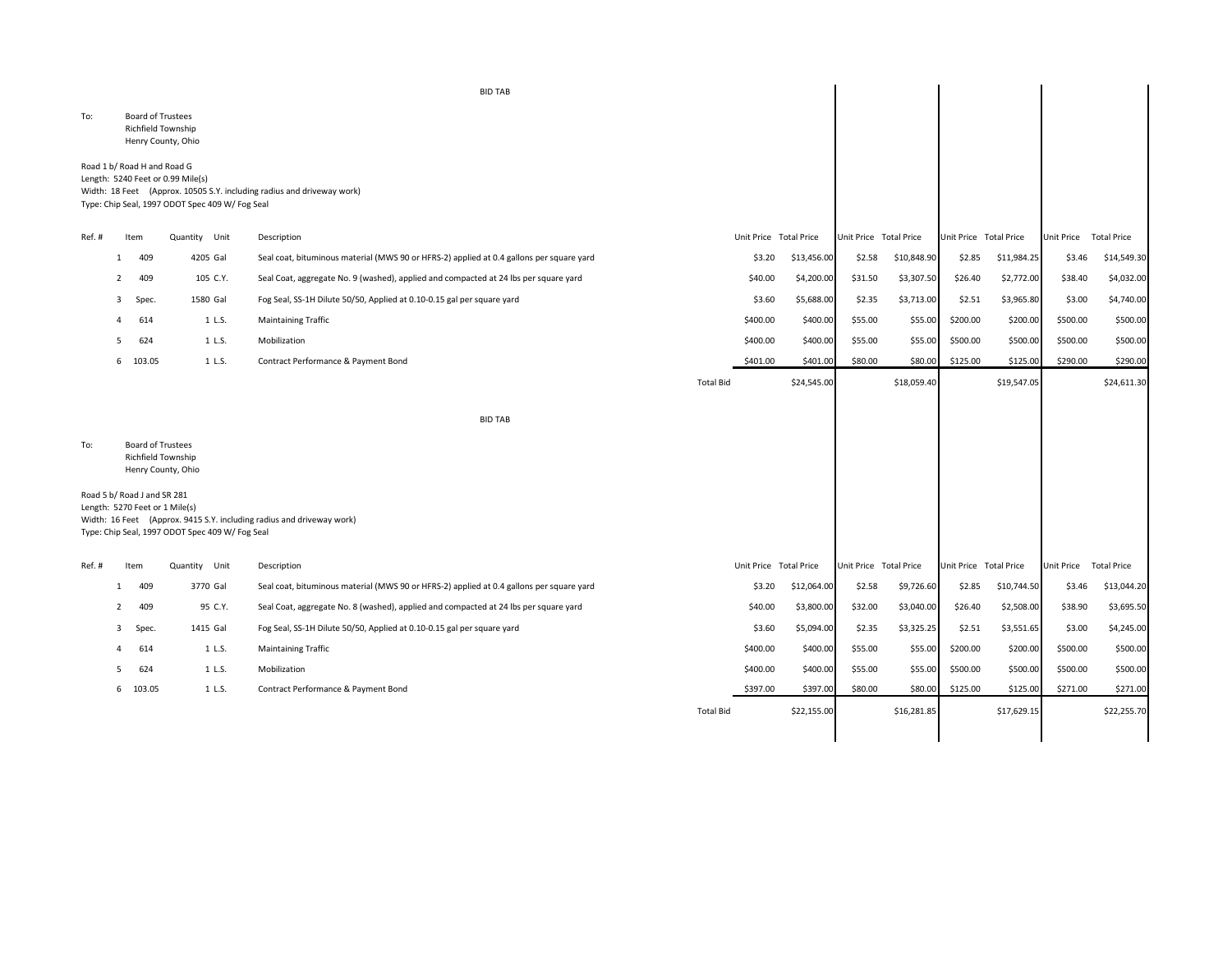|        |                |                                                               |                                                                                      | <b>BID TAB</b>                                                                           |                  |          |                        |                        |             |                        |             |                   |                    |
|--------|----------------|---------------------------------------------------------------|--------------------------------------------------------------------------------------|------------------------------------------------------------------------------------------|------------------|----------|------------------------|------------------------|-------------|------------------------|-------------|-------------------|--------------------|
| To:    |                | Board of Trustees<br>Richfield Township                       | Henry County, Ohio                                                                   |                                                                                          |                  |          |                        |                        |             |                        |             |                   |                    |
|        |                | Road 1 b/ Road H and Road G                                   | Length: 5240 Feet or 0.99 Mile(s)<br>Type: Chip Seal, 1997 ODOT Spec 409 W/ Fog Seal | Width: 18 Feet (Approx. 10505 S.Y. including radius and driveway work)                   |                  |          |                        |                        |             |                        |             |                   |                    |
| Ref.#  |                | Item                                                          | Quantity Unit                                                                        | Description                                                                              |                  |          | Unit Price Total Price | Unit Price Total Price |             | Unit Price Total Price |             | Unit Price        | <b>Total Price</b> |
|        | -1             | 409                                                           | 4205 Gal                                                                             | Seal coat, bituminous material (MWS 90 or HFRS-2) applied at 0.4 gallons per square yard |                  | \$3.20   | \$13,456.00            | \$2.58                 | \$10,848.90 | \$2.85                 | \$11,984.25 | \$3.46            | \$14,549.30        |
|        | $\overline{2}$ | 409                                                           | 105 C.Y.                                                                             | Seal Coat, aggregate No. 9 (washed), applied and compacted at 24 lbs per square yard     |                  | \$40.00  | \$4,200.00             | \$31.50                | \$3,307.50  | \$26.40                | \$2,772.00  | \$38.40           | \$4,032.00         |
|        | 3              | Spec.                                                         | 1580 Gal                                                                             | Fog Seal, SS-1H Dilute 50/50, Applied at 0.10-0.15 gal per square yard                   |                  | \$3.60   | \$5,688.00             | \$2.35                 | \$3,713.00  | \$2.51                 | \$3,965.80  | \$3.00            | \$4,740.00         |
|        | Δ              | 614                                                           | 1 L.S.                                                                               | <b>Maintaining Traffic</b>                                                               |                  | \$400.00 | \$400.00               | \$55.00                | \$55.00     | \$200.00               | \$200.00    | \$500.00          | \$500.00           |
|        | .5             | 624                                                           | 1 L.S.                                                                               | Mobilization                                                                             |                  | \$400.00 | \$400.00               | \$55.00                | \$55.00     | \$500.00               | \$500.00    | \$500.00          | \$500.00           |
|        |                | 6 103.05                                                      | 1 L.S.                                                                               | Contract Performance & Payment Bond                                                      |                  | \$401.00 | \$401.00               | \$80.00                | \$80.00     | \$125.00               | \$125.00    | \$290.00          | \$290.00           |
|        |                |                                                               |                                                                                      |                                                                                          | <b>Total Bid</b> |          | \$24,545.00            |                        | \$18,059.40 |                        | \$19,547.05 |                   | \$24,611.30        |
|        |                |                                                               |                                                                                      | <b>BID TAB</b>                                                                           |                  |          |                        |                        |             |                        |             |                   |                    |
| To:    |                | <b>Board of Trustees</b><br>Richfield Township                | Henry County, Ohio                                                                   |                                                                                          |                  |          |                        |                        |             |                        |             |                   |                    |
|        |                | Road 5 b/ Road J and SR 281<br>Length: 5270 Feet or 1 Mile(s) | Type: Chip Seal, 1997 ODOT Spec 409 W/ Fog Seal                                      | Width: 16 Feet (Approx. 9415 S.Y. including radius and driveway work)                    |                  |          |                        |                        |             |                        |             |                   |                    |
| Ref. # |                | Item                                                          | Quantity Unit                                                                        | Description                                                                              |                  |          | Unit Price Total Price | Unit Price Total Price |             | Unit Price Total Price |             | <b>Unit Price</b> | <b>Total Price</b> |
|        | 1              | 409                                                           | 3770 Gal                                                                             | Seal coat, bituminous material (MWS 90 or HFRS-2) applied at 0.4 gallons per square yard |                  | \$3.20   | \$12,064.00            | \$2.58                 | \$9,726.60  | \$2.85                 | \$10,744.50 | \$3.46            | \$13,044.20        |
|        |                | 409                                                           | 95 C.Y.                                                                              | Seal Coat, aggregate No. 8 (washed), applied and compacted at 24 lbs per square yard     |                  | \$40.00  | \$3,800.00             | \$32.00                | \$3,040.00  | \$26.40                | \$2,508.00  | \$38.90           | \$3,695.50         |
|        | 3              | Spec.                                                         | 1415 Gal                                                                             | Fog Seal, SS-1H Dilute 50/50, Applied at 0.10-0.15 gal per square yard                   |                  | \$3.60   | \$5,094.00             | \$2.35                 | \$3,325.25  | \$2.51                 | \$3,551.65  | \$3.00            | \$4,245.00         |
|        |                | 614                                                           | 1 L.S.                                                                               | <b>Maintaining Traffic</b>                                                               |                  | \$400.00 | \$400.00               | \$55.00                | \$55.00     | \$200.00               | \$200.00    | \$500.00          | \$500.00           |
|        | 5              | 624                                                           | 1 L.S.                                                                               | Mobilization                                                                             |                  | \$400.00 | \$400.00               | \$55.00                | \$55.00     | \$500.00               | \$500.00    | \$500.00          | \$500.00           |
|        |                | 6 103.05                                                      | 1 L.S.                                                                               | Contract Performance & Payment Bond                                                      |                  | \$397.00 | \$397.00               | \$80.00                | \$80.00     | \$125.00               | \$125.00    | \$271.00          | \$271.00           |
|        |                |                                                               |                                                                                      |                                                                                          | <b>Total Bid</b> |          | \$22,155.00            |                        | \$16,281.85 |                        | \$17,629.15 |                   | \$22,255.70        |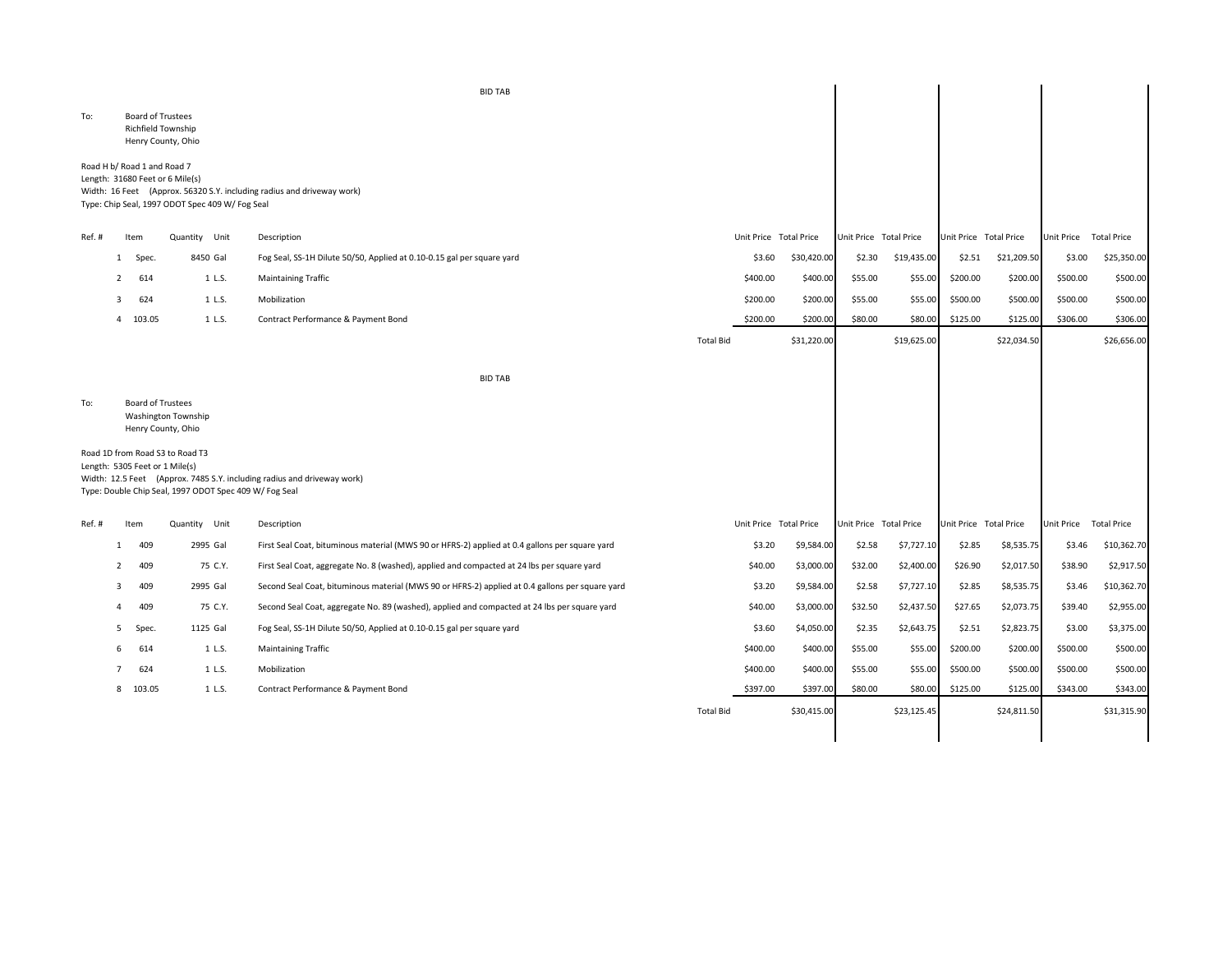|       |              |                                                       |                                                                                           | <b>BID TAB</b>                                                                                  |                  |                        |             |                        |             |          |                        |                        |             |
|-------|--------------|-------------------------------------------------------|-------------------------------------------------------------------------------------------|-------------------------------------------------------------------------------------------------|------------------|------------------------|-------------|------------------------|-------------|----------|------------------------|------------------------|-------------|
| To:   |              | <b>Board of Trustees</b><br><b>Richfield Township</b> | Henry County, Ohio                                                                        |                                                                                                 |                  |                        |             |                        |             |          |                        |                        |             |
|       |              | Road H b/ Road 1 and Road 7                           | Length: 31680 Feet or 6 Mile(s)<br>Type: Chip Seal, 1997 ODOT Spec 409 W/ Fog Seal        | Width: 16 Feet (Approx. 56320 S.Y. including radius and driveway work)                          |                  |                        |             |                        |             |          |                        |                        |             |
| Ref.# |              | Item                                                  | Quantity Unit                                                                             | Description                                                                                     |                  | Unit Price Total Price |             | Unit Price Total Price |             |          | Unit Price Total Price | Unit Price Total Price |             |
|       | $\mathbf{1}$ | Spec.                                                 | 8450 Gal                                                                                  | Fog Seal, SS-1H Dilute 50/50, Applied at 0.10-0.15 gal per square yard                          |                  | \$3.60                 | \$30,420.00 | \$2.30                 | \$19,435.00 | \$2.51   | \$21,209.50            | \$3.00                 | \$25,350.00 |
|       | $\mathbf{2}$ | 614                                                   | 1 L.S.                                                                                    | <b>Maintaining Traffic</b>                                                                      |                  | \$400.00               | \$400.00    | \$55.00                | \$55.00     | \$200.00 | \$200.00               | \$500.00               | \$500.00    |
|       | 3            | 624                                                   | 1 L.S.                                                                                    | Mobilization                                                                                    |                  | \$200.00               | \$200.00    | \$55.00                | \$55.00     | \$500.00 | \$500.00               | \$500.00               | \$500.00    |
|       |              | 4 103.05                                              | 1 L.S.                                                                                    | Contract Performance & Payment Bond                                                             |                  | \$200.00               | \$200.00    | \$80.00                | \$80.00     | \$125.00 | \$125.00               | \$306.00               | \$306.00    |
|       |              |                                                       |                                                                                           |                                                                                                 | <b>Total Bid</b> |                        | \$31,220.00 |                        | \$19,625.00 |          | \$22,034.50            |                        | \$26,656.00 |
|       |              |                                                       |                                                                                           | <b>BID TAB</b>                                                                                  |                  |                        |             |                        |             |          |                        |                        |             |
| To:   |              | Board of Trustees                                     | Washington Township<br>Henry County, Ohio                                                 |                                                                                                 |                  |                        |             |                        |             |          |                        |                        |             |
|       |              | Length: 5305 Feet or 1 Mile(s)                        | Road 1D from Road S3 to Road T3<br>Type: Double Chip Seal, 1997 ODOT Spec 409 W/ Fog Seal | Width: 12.5 Feet (Approx. 7485 S.Y. including radius and driveway work)                         |                  |                        |             |                        |             |          |                        |                        |             |
| Ref.# |              | Item                                                  | Quantity Unit                                                                             | Description                                                                                     |                  | Unit Price Total Price |             | Unit Price Total Price |             |          | Unit Price Total Price | Unit Price Total Price |             |
|       | 1            | 409                                                   | 2995 Gal                                                                                  | First Seal Coat, bituminous material (MWS 90 or HFRS-2) applied at 0.4 gallons per square yard  |                  | \$3.20                 | \$9,584.00  | \$2.58                 | \$7,727.10  | \$2.85   | \$8,535.75             | \$3.46                 | \$10,362.70 |
|       | 2            | 409                                                   | 75 C.Y.                                                                                   | First Seal Coat, aggregate No. 8 (washed), applied and compacted at 24 lbs per square yard      |                  | \$40.00                | \$3,000.00  | \$32.00                | \$2,400.00  | \$26.90  | \$2,017.50             | \$38.90                | \$2,917.50  |
|       | 3            | 409                                                   | 2995 Gal                                                                                  | Second Seal Coat, bituminous material (MWS 90 or HFRS-2) applied at 0.4 gallons per square yard |                  | \$3.20                 | \$9,584.00  | \$2.58                 | \$7,727.10  | \$2.85   | \$8,535.75             | \$3.46                 | \$10,362.70 |
|       | 4            | 409                                                   | 75 C.Y.                                                                                   | Second Seal Coat, aggregate No. 89 (washed), applied and compacted at 24 lbs per square yard    |                  | \$40.00                | \$3,000.00  | \$32.50                | \$2,437.50  | \$27.65  | \$2,073.75             | \$39.40                | \$2,955.00  |
|       | 5            | Spec.                                                 | 1125 Gal                                                                                  | Fog Seal, SS-1H Dilute 50/50, Applied at 0.10-0.15 gal per square yard                          |                  | \$3.60                 | \$4,050.00  | \$2.35                 | \$2,643.75  | \$2.51   | \$2,823.75             | \$3.00                 | \$3,375.00  |
|       | 6            | 614                                                   | 1 L.S.                                                                                    | <b>Maintaining Traffic</b>                                                                      |                  | \$400.00               | \$400.00    | \$55.00                | \$55.00     | \$200.00 | \$200.00               | \$500.00               | \$500.00    |
|       | 7            | 624                                                   | 1 L.S.                                                                                    | Mobilization                                                                                    |                  | \$400.00               | \$400.00    | \$55.00                | \$55.00     | \$500.00 | \$500.00               | \$500.00               | \$500.00    |
|       |              | 8 103.05                                              | 1 L.S.                                                                                    | Contract Performance & Payment Bond                                                             |                  | \$397.00               | \$397.00    | \$80.00                | \$80.00     | \$125.00 | \$125.00               | \$343.00               | \$343.00    |
|       |              |                                                       |                                                                                           |                                                                                                 | <b>Total Bid</b> |                        | \$30,415.00 |                        | \$23,125.45 |          | \$24,811.50            |                        | \$31,315.90 |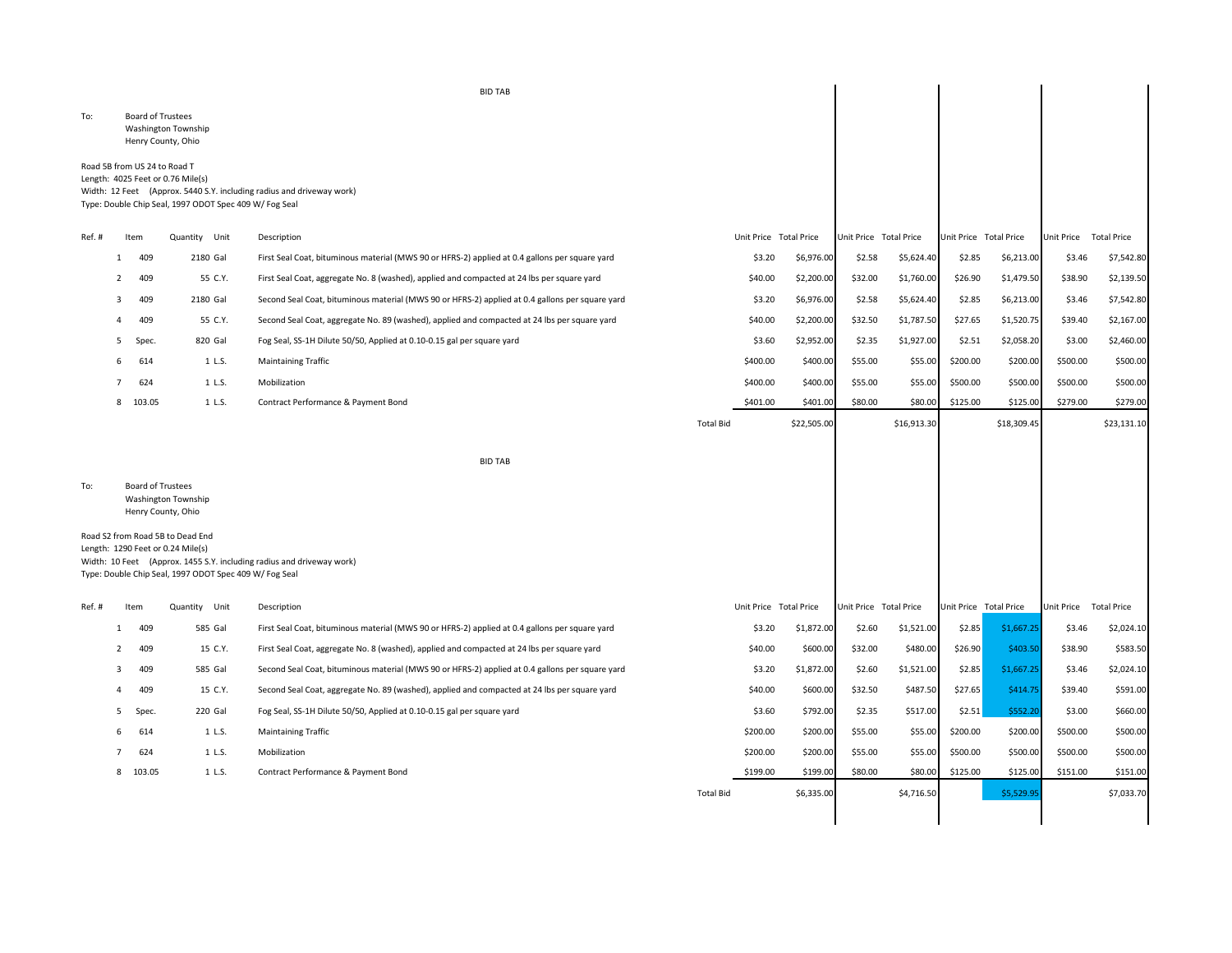To: Board of Trustees Washington Township Henry County, Ohio

Road 5B from US 24 to Road T Length: 4025 Feet or 0.76 Mile(s) Width: 12 Feet (Approx. 5440 S.Y. including radius and driveway work) Type: Double Chip Seal, 1997 ODOT Spec 409 W/ Fog Seal

| Ref.# |   | Item     | Quantity Unit | Description                                                                                     |                  |          | Unit Price Total Price |         | Unit Price Total Price | Unit Price Total Price |             | <b>Unit Price</b> | <b>Total Price</b> |
|-------|---|----------|---------------|-------------------------------------------------------------------------------------------------|------------------|----------|------------------------|---------|------------------------|------------------------|-------------|-------------------|--------------------|
|       |   | 409      | 2180 Gal      | First Seal Coat, bituminous material (MWS 90 or HFRS-2) applied at 0.4 gallons per square yard  |                  | \$3.20   | \$6,976.00             | \$2.58  | \$5,624.40             | \$2.85                 | \$6,213.00  | \$3.46            | \$7,542.80         |
|       |   | 409      | 55 C.Y.       | First Seal Coat, aggregate No. 8 (washed), applied and compacted at 24 lbs per square yard      |                  | \$40.00  | \$2,200.00             | \$32.00 | \$1,760.00             | \$26.90                | \$1,479.50  | \$38.90           | \$2,139.50         |
|       |   | 409      | 2180 Gal      | Second Seal Coat, bituminous material (MWS 90 or HFRS-2) applied at 0.4 gallons per square yard |                  | \$3.20   | \$6,976.00             | \$2.58  | \$5,624.40             | \$2.85                 | \$6,213.00  | \$3.46            | \$7,542.80         |
|       |   | 409      | 55 C.Y.       | Second Seal Coat, aggregate No. 89 (washed), applied and compacted at 24 lbs per square yard    |                  | \$40.00  | \$2,200.00             | \$32.50 | \$1,787.50             | \$27.65                | \$1,520.75  | \$39.40           | \$2,167.00         |
|       |   | Spec.    | 820 Gal       | Fog Seal, SS-1H Dilute 50/50, Applied at 0.10-0.15 gal per square yard                          |                  | \$3.60   | \$2,952.00             | \$2.35  | \$1,927.00             | \$2.51                 | \$2,058.20  | \$3.00            | \$2,460.00         |
|       | 6 | 614      | 1 L.S.        | <b>Maintaining Traffic</b>                                                                      |                  | \$400.00 | \$400.00               | \$55.00 | \$55.00                | \$200.00               | \$200.00    | \$500.00          | \$500.00           |
|       |   | 624      | 1 L.S.        | Mobilization                                                                                    |                  | \$400.00 | \$400.00               | \$55.00 | \$55.00                | \$500.00               | \$500.00    | \$500.00          | \$500.00           |
|       |   | 8 103.05 | 1 L.S.        | Contract Performance & Payment Bond                                                             |                  | \$401.00 | \$401.00               | \$80.00 | \$80.00                | \$125.00               | \$125.00    | \$279.00          | \$279.00           |
|       |   |          |               |                                                                                                 | <b>Total Bid</b> |          | \$22,505.00            |         | \$16,913.30            |                        | \$18,309.45 |                   | \$23,131.10        |

 $\mathbb{R}$ 

 $\mathbb{R}$ 

 $\mathbb{R}^2$ 

BID TAB

To: Board of Trustees Washington Township Henry County, Ohio

Road S2 from Road 5B to Dead End Length: 1290 Feet or 0.24 Mile(s) Width: 10 Feet (Approx. 1455 S.Y. including radius and driveway work) Type: Double Chip Seal, 1997 ODOT Spec 409 W/ Fog Seal

| Ref.# |   | Item   | Quantity Unit | Description                                                                                     |                  | Unit Price Total Price | Unit Price | <b>Total Price</b> |          | Unit Price Total Price | <b>Unit Price</b> | <b>Total Price</b> |
|-------|---|--------|---------------|-------------------------------------------------------------------------------------------------|------------------|------------------------|------------|--------------------|----------|------------------------|-------------------|--------------------|
|       |   | 409    | 585 Gal       | First Seal Coat, bituminous material (MWS 90 or HFRS-2) applied at 0.4 gallons per square yard  |                  | \$1,872.00<br>\$3.20   | \$2.60     | \$1,521.00         | \$2.85   | \$1,667.25             | \$3.46            | \$2,024.10         |
|       |   | 409    | 15 C.Y.       | First Seal Coat, aggregate No. 8 (washed), applied and compacted at 24 lbs per square yard      |                  | \$600.00<br>\$40.00    | \$32.00    | \$480.00           | \$26.90  | \$403.50               | \$38.90           | \$583.50           |
|       |   | 409    | 585 Gal       | Second Seal Coat, bituminous material (MWS 90 or HFRS-2) applied at 0.4 gallons per square yard |                  | \$3.20<br>\$1,872.00   | \$2.60     | \$1,521.00         | \$2.85   | \$1,667.25             | \$3.46            | \$2,024.10         |
|       |   | 409    | 15 C.Y.       | Second Seal Coat, aggregate No. 89 (washed), applied and compacted at 24 lbs per square yard    |                  | \$600.00<br>\$40.00    | \$32.50    | \$487.50           | \$27.65  | \$414.75               | \$39.40           | \$591.00           |
|       |   | Spec.  | 220 Gal       | Fog Seal, SS-1H Dilute 50/50, Applied at 0.10-0.15 gal per square yard                          |                  | \$3.60<br>\$792.00     | \$2.35     | \$517.00           | \$2.51   | \$552.20               | \$3.00            | \$660.00           |
|       | 6 | 614    | 1 L.S.        | <b>Maintaining Traffic</b>                                                                      |                  | \$200.00<br>\$200.00   | \$55.00    | \$55.00            | \$200.00 | \$200.00               | \$500.00          | \$500.00           |
|       |   | 624    | 1 L.S.        | Mobilization                                                                                    |                  | \$200.00<br>\$200.00   | \$55.00    | \$55.00            | \$500.00 | \$500.00               | \$500.00          | \$500.00           |
|       | 8 | 103.05 | 1 L.S.        | Contract Performance & Payment Bond                                                             |                  | \$199.00<br>\$199.00   | \$80.00    | \$80.00            | \$125.00 | \$125.00               | \$151.00          | \$151.00           |
|       |   |        |               |                                                                                                 | <b>Total Bid</b> | \$6,335.00             |            | \$4,716.50         |          | \$5,529.95             |                   | \$7,033.70         |

BID TAB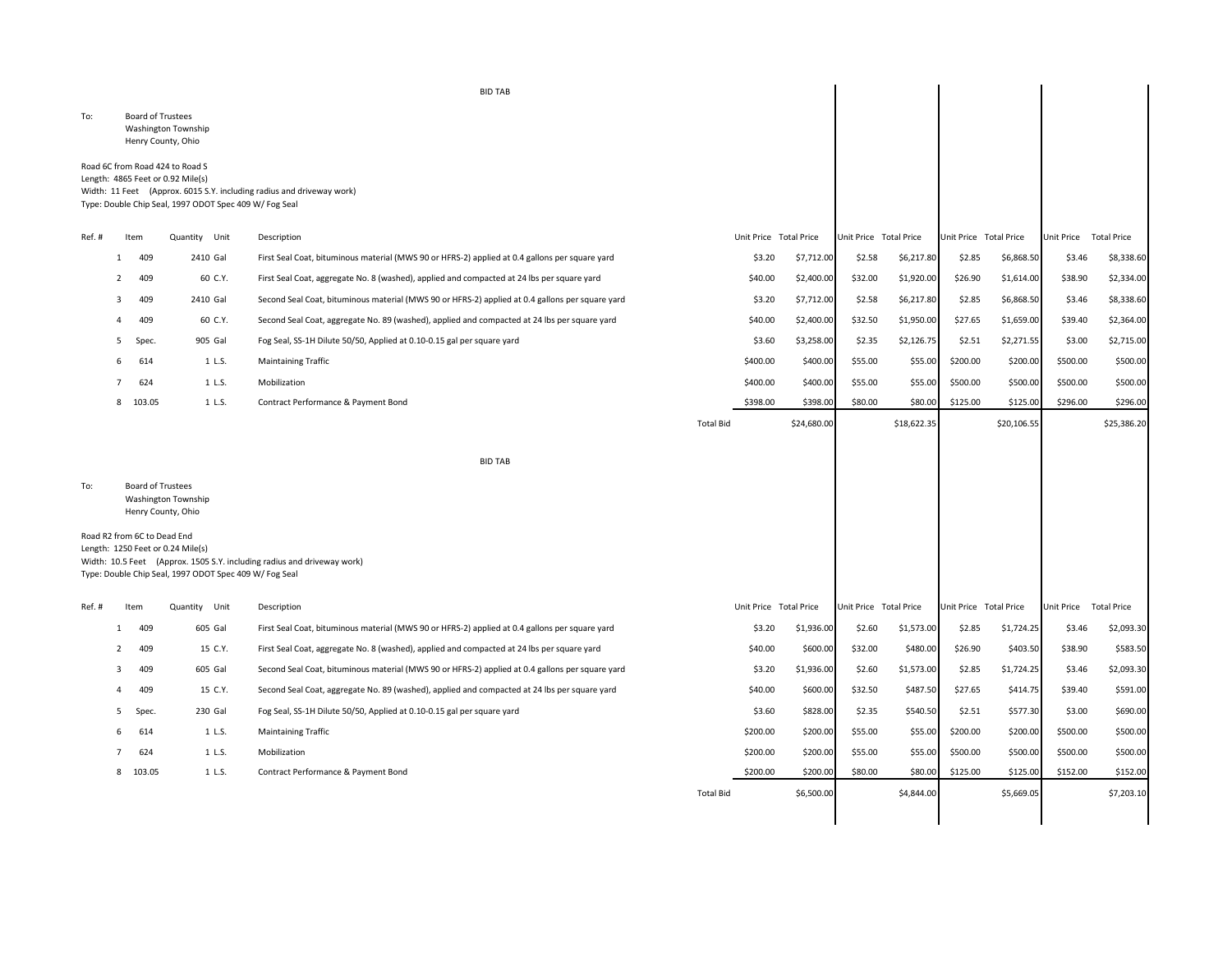To: Board of Trustees Washington Township Henry County, Ohio

## Road 6C from Road 424 to Road S Length: 4865 Feet or 0.92 Mile(s) Width: 11 Feet (Approx. 6015 S.Y. including radius and driveway work) Type: Double Chip Seal, 1997 ODOT Spec 409 W/ Fog Seal

| Ref.#                                                                        |                | Item     | Unit<br>Quantity | Description                                                                                     |                  | Unit Price Total Price |         | Unit Price Total Price | Unit Price Total Price |             | <b>Unit Price</b> | <b>Total Price</b> |
|------------------------------------------------------------------------------|----------------|----------|------------------|-------------------------------------------------------------------------------------------------|------------------|------------------------|---------|------------------------|------------------------|-------------|-------------------|--------------------|
|                                                                              |                | 409      | 2410 Gal         | First Seal Coat, bituminous material (MWS 90 or HFRS-2) applied at 0.4 gallons per square yard  |                  | \$3.20<br>\$7,712.00   | \$2.58  | \$6,217.80             | \$2.85                 | \$6,868.50  | \$3.46            | \$8,338.60         |
|                                                                              | $\overline{2}$ | 409      | 60 C.Y.          | First Seal Coat, aggregate No. 8 (washed), applied and compacted at 24 lbs per square yard      |                  | \$40.00<br>\$2,400.00  | \$32.00 | \$1,920.00             | \$26.90                | \$1,614.00  | \$38.90           | \$2,334.00         |
|                                                                              | 3              | 409      | 2410 Gal         | Second Seal Coat, bituminous material (MWS 90 or HFRS-2) applied at 0.4 gallons per square yard |                  | \$3.20<br>\$7,712.00   | \$2.58  | \$6,217.80             | \$2.85                 | \$6,868.50  | \$3.46            | \$8,338.60         |
|                                                                              |                | 409      | 60 C.Y.          | Second Seal Coat, aggregate No. 89 (washed), applied and compacted at 24 lbs per square yard    |                  | \$40.00<br>\$2,400.00  | \$32.50 | \$1,950.00             | \$27.65                | \$1,659.00  | \$39.40           | \$2,364.00         |
|                                                                              | 5              | Spec.    | 905 Gal          | Fog Seal, SS-1H Dilute 50/50, Applied at 0.10-0.15 gal per square yard                          |                  | \$3.60<br>\$3,258.00   | \$2.35  | \$2,126.75             | \$2.51                 | \$2,271.55  | \$3.00            | \$2,715.00         |
|                                                                              | 6              | 614      | 1 L.S.           | <b>Maintaining Traffic</b>                                                                      | \$400.00         | \$400.00               | \$55.00 | \$55.00                | \$200.00               | \$200.00    | \$500.00          | \$500.00           |
|                                                                              |                | 624      | 1 L.S.           | Mobilization                                                                                    | \$400.00         | \$400.00               | \$55.00 | \$55.00                | \$500.00               | \$500.00    | \$500.00          | \$500.00           |
|                                                                              |                | 8 103.05 | 1 L.S.           | Contract Performance & Payment Bond                                                             | \$398.00         | \$398.00               | \$80.00 | \$80.00                | \$125.00               | \$125.00    | \$296.00          | \$296.00           |
|                                                                              |                |          |                  |                                                                                                 | <b>Total Bid</b> | \$24,680.00            |         | \$18,622.35            |                        | \$20,106.55 |                   | \$25,386.20        |
|                                                                              |                |          |                  |                                                                                                 |                  |                        |         |                        |                        |             |                   |                    |
|                                                                              |                |          |                  | <b>BID TAB</b>                                                                                  |                  |                        |         |                        |                        |             |                   |                    |
| <b>Board of Trustees</b><br>To:<br>Washington Township<br>Henry County, Ohio |                |          |                  |                                                                                                 |                  |                        |         |                        |                        |             |                   |                    |
| Road R2 from 6C to Dead End                                                  |                |          |                  |                                                                                                 |                  |                        |         |                        |                        |             |                   |                    |

 $\mathbb{R}^2$ 

Length: 1250 Feet or 0.24 Mile(s) Width: 10.5 Feet (Approx. 1505 S.Y. including radius and driveway work) Type: Double Chip Seal, 1997 ODOT Spec 409 W/ Fog Seal

| Ref. # |   | Item     | Unit<br>Quantity | Description                                                                                     |                  | Unit Price Total Price | <b>Unit Price</b> | <b>Total Price</b> |          | Unit Price Total Price | Unit Price | <b>Total Price</b> |
|--------|---|----------|------------------|-------------------------------------------------------------------------------------------------|------------------|------------------------|-------------------|--------------------|----------|------------------------|------------|--------------------|
|        |   | 409      | 605 Gal          | First Seal Coat, bituminous material (MWS 90 or HFRS-2) applied at 0.4 gallons per square yard  |                  | \$3.20<br>\$1,936.00   | \$2.60            | \$1,573.00         | \$2.85   | \$1,724.25             | \$3.46     | \$2,093.30         |
|        |   | 409      | 15 C.Y.          | First Seal Coat, aggregate No. 8 (washed), applied and compacted at 24 lbs per square yard      | \$40.00          | \$600.00               | \$32.00           | \$480.00           | \$26.90  | \$403.50               | \$38.90    | \$583.50           |
|        |   | 409      | 605 Gal          | Second Seal Coat, bituminous material (MWS 90 or HFRS-2) applied at 0.4 gallons per square yard |                  | \$3.20<br>\$1,936.00   | \$2.60            | \$1,573.00         | \$2.85   | \$1,724.25             | \$3.46     | \$2,093.30         |
|        |   | 409      | 15 C.Y.          | Second Seal Coat, aggregate No. 89 (washed), applied and compacted at 24 lbs per square yard    | \$40.00          | \$600.00               | \$32.50           | \$487.50           | \$27.65  | \$414.75               | \$39.40    | \$591.00           |
|        |   | Spec.    | 230 Gal          | Fog Seal, SS-1H Dilute 50/50, Applied at 0.10-0.15 gal per square yard                          |                  | \$3.60<br>\$828.00     | \$2.35            | \$540.50           | \$2.51   | \$577.30               | \$3.00     | \$690.00           |
|        | 6 | 614      | 1 L.S.           | <b>Maintaining Traffic</b>                                                                      | \$200.00         | \$200.00               | \$55.00           | \$55.00            | \$200.00 | \$200.00               | \$500.00   | \$500.00           |
|        |   | 624      | 1 L.S.           | Mobilization                                                                                    | \$200.00         | \$200.00               | \$55.00           | \$55.00            | \$500.00 | \$500.00               | \$500.00   | \$500.00           |
|        |   | 8 103.05 | 1 L.S.           | Contract Performance & Payment Bond                                                             | \$200.00         | \$200.00               | \$80.00           | \$80.00            | \$125.00 | \$125.00               | \$152.00   | \$152.00           |
|        |   |          |                  |                                                                                                 | <b>Total Bid</b> | \$6,500.00             |                   | \$4,844.00         |          | \$5,669.05             |            | \$7,203.10         |
|        |   |          |                  |                                                                                                 |                  |                        |                   |                    |          |                        |            |                    |

BID TAB